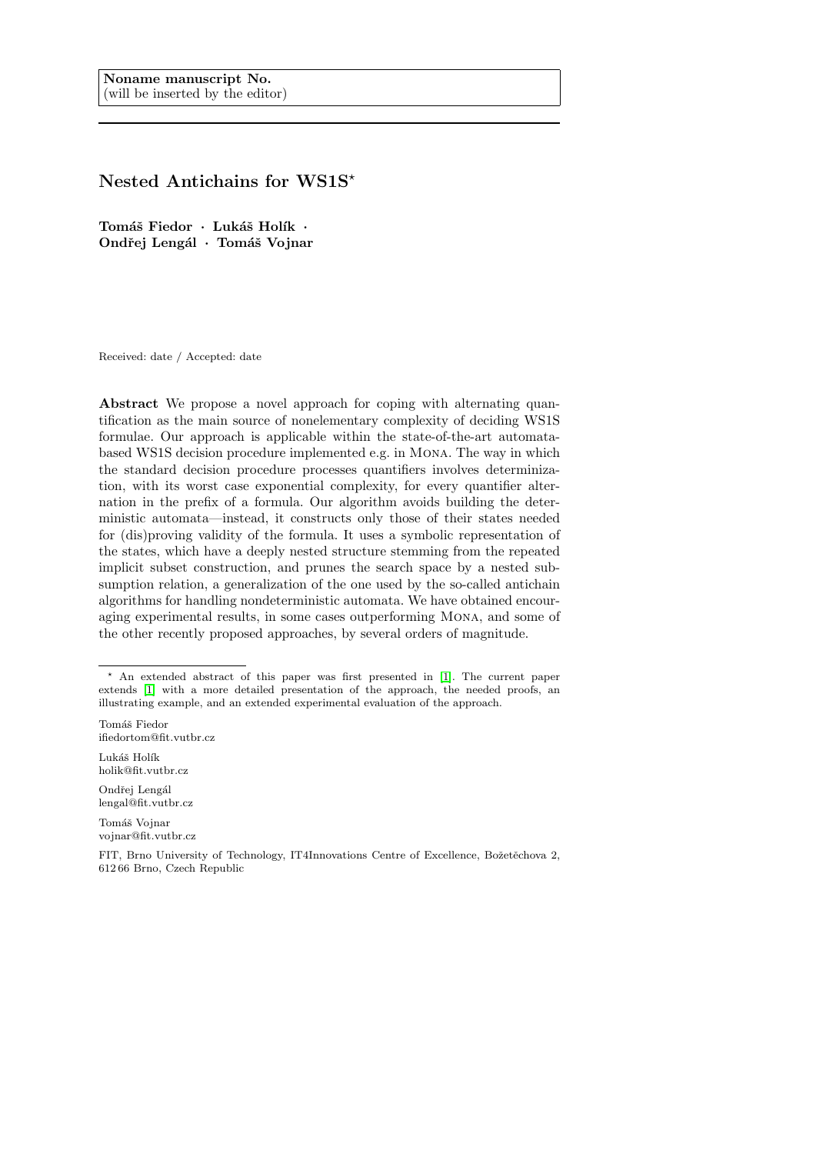# Nested Antichains for WS1S<sup>\*</sup>

Tomáš Fiedor · Lukáš Holík · Ondřej Lengál · Tomáš Vojnar

Received: date / Accepted: date

Abstract We propose a novel approach for coping with alternating quantification as the main source of nonelementary complexity of deciding WS1S formulae. Our approach is applicable within the state-of-the-art automatabased WS1S decision procedure implemented e.g. in Mona. The way in which the standard decision procedure processes quantifiers involves determinization, with its worst case exponential complexity, for every quantifier alternation in the prefix of a formula. Our algorithm avoids building the deterministic automata—instead, it constructs only those of their states needed for (dis)proving validity of the formula. It uses a symbolic representation of the states, which have a deeply nested structure stemming from the repeated implicit subset construction, and prunes the search space by a nested subsumption relation, a generalization of the one used by the so-called antichain algorithms for handling nondeterministic automata. We have obtained encouraging experimental results, in some cases outperforming Mona, and some of the other recently proposed approaches, by several orders of magnitude.

Tomáš Fiedor ifiedortom@fit.vutbr.cz

Lukáš Holík holik@fit.vutbr.cz

Ondřei Lengál lengal@fit.vutbr.cz

Tomáš Vojnar vojnar@fit.vutbr.cz

<sup>?</sup> An extended abstract of this paper was first presented in [\[1\]](#page-25-0). The current paper extends [\[1\]](#page-25-0) with a more detailed presentation of the approach, the needed proofs, an illustrating example, and an extended experimental evaluation of the approach.

FIT, Brno University of Technology, IT4Innovations Centre of Excellence, Božetěchova 2, 612 66 Brno, Czech Republic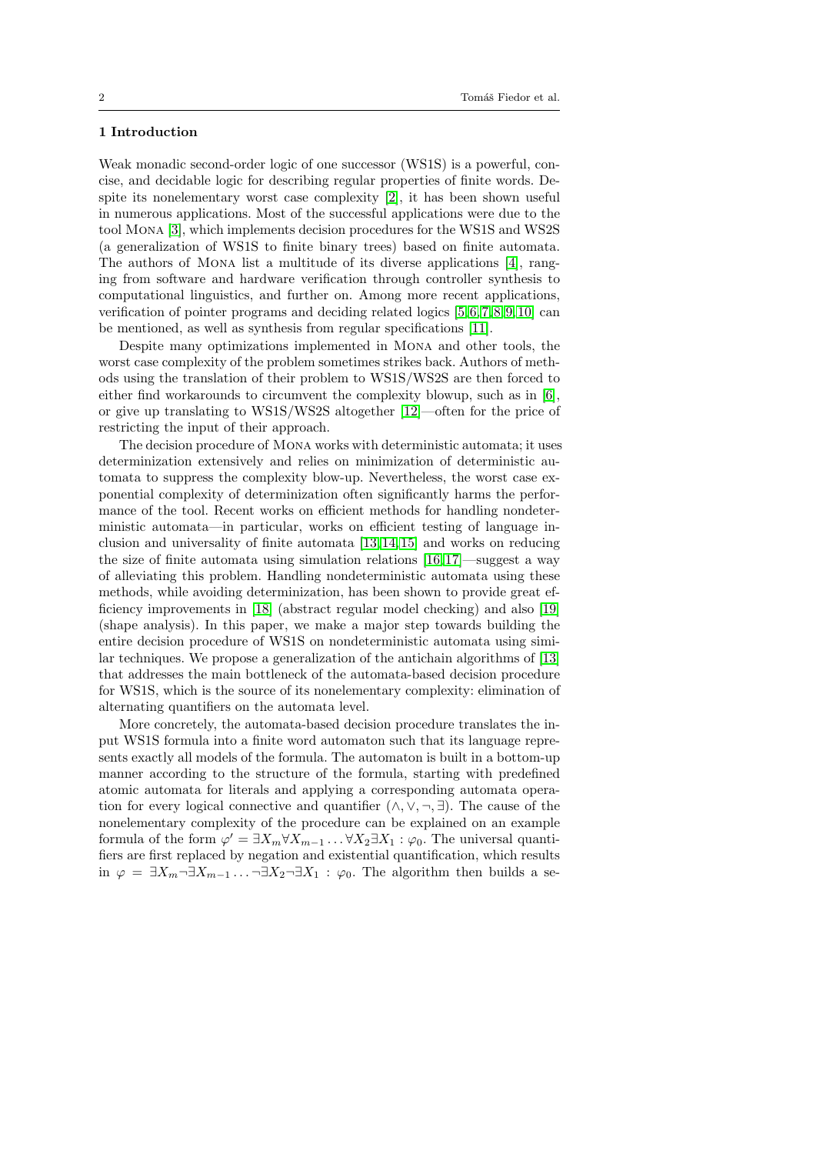# 1 Introduction

Weak monadic second-order logic of one successor (WS1S) is a powerful, concise, and decidable logic for describing regular properties of finite words. Despite its nonelementary worst case complexity [\[2\]](#page-25-1), it has been shown useful in numerous applications. Most of the successful applications were due to the tool Mona [\[3\]](#page-26-0), which implements decision procedures for the WS1S and WS2S (a generalization of WS1S to finite binary trees) based on finite automata. The authors of Mona list a multitude of its diverse applications [\[4\]](#page-26-1), ranging from software and hardware verification through controller synthesis to computational linguistics, and further on. Among more recent applications, verification of pointer programs and deciding related logics [\[5,](#page-26-2) [6,](#page-26-3) [7,](#page-26-4) [8,](#page-26-5) [9,](#page-26-6) [10\]](#page-26-7) can be mentioned, as well as synthesis from regular specifications [\[11\]](#page-26-8).

Despite many optimizations implemented in Mona and other tools, the worst case complexity of the problem sometimes strikes back. Authors of methods using the translation of their problem to WS1S/WS2S are then forced to either find workarounds to circumvent the complexity blowup, such as in [\[6\]](#page-26-3), or give up translating to WS1S/WS2S altogether [\[12\]](#page-26-9)—often for the price of restricting the input of their approach.

The decision procedure of Mona works with deterministic automata; it uses determinization extensively and relies on minimization of deterministic automata to suppress the complexity blow-up. Nevertheless, the worst case exponential complexity of determinization often significantly harms the performance of the tool. Recent works on efficient methods for handling nondeterministic automata—in particular, works on efficient testing of language inclusion and universality of finite automata [\[13,](#page-26-10) [14,](#page-26-11) [15\]](#page-26-12) and works on reducing the size of finite automata using simulation relations [\[16,](#page-26-13) [17\]](#page-26-14)—suggest a way of alleviating this problem. Handling nondeterministic automata using these methods, while avoiding determinization, has been shown to provide great efficiency improvements in [\[18\]](#page-26-15) (abstract regular model checking) and also [\[19\]](#page-26-16) (shape analysis). In this paper, we make a major step towards building the entire decision procedure of WS1S on nondeterministic automata using similar techniques. We propose a generalization of the antichain algorithms of [\[13\]](#page-26-10) that addresses the main bottleneck of the automata-based decision procedure for WS1S, which is the source of its nonelementary complexity: elimination of alternating quantifiers on the automata level.

More concretely, the automata-based decision procedure translates the input WS1S formula into a finite word automaton such that its language represents exactly all models of the formula. The automaton is built in a bottom-up manner according to the structure of the formula, starting with predefined atomic automata for literals and applying a corresponding automata operation for every logical connective and quantifier  $(\wedge, \vee, \neg, \exists)$ . The cause of the nonelementary complexity of the procedure can be explained on an example formula of the form  $\varphi' = \exists X_m \forall X_{m-1} \dots \forall X_2 \exists X_1 : \varphi_0$ . The universal quantifiers are first replaced by negation and existential quantification, which results in  $\varphi = \exists X_m \neg \exists X_{m-1} \dots \neg \exists X_2 \neg \exists X_1 : \varphi_0$ . The algorithm then builds a se-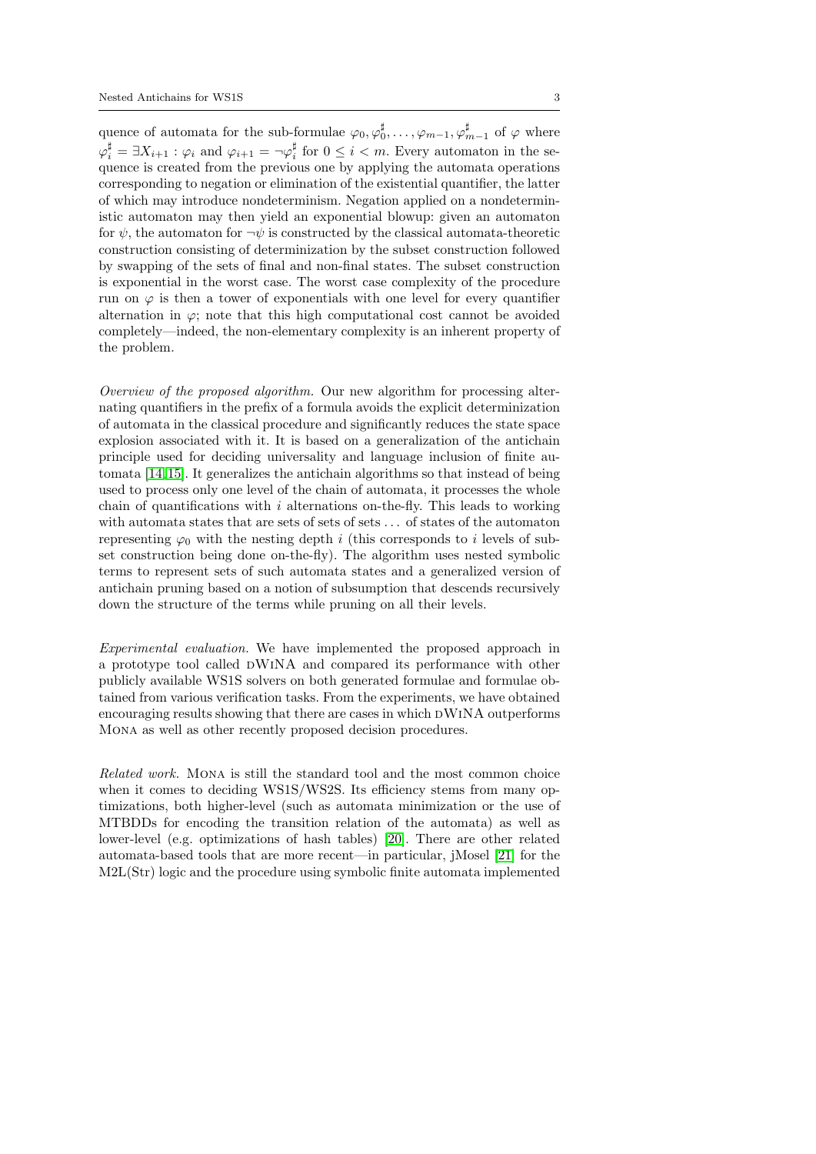quence of automata for the sub-formulae  $\varphi_0, \varphi_0^{\sharp}, \ldots, \varphi_{m-1}, \varphi_{m-1}^{\sharp}$  of  $\varphi$  where  $\varphi_i^{\sharp} = \exists X_{i+1} : \varphi_i$  and  $\varphi_{i+1} = \neg \varphi_i^{\sharp}$  for  $0 \leq i < m$ . Every automaton in the sequence is created from the previous one by applying the automata operations corresponding to negation or elimination of the existential quantifier, the latter of which may introduce nondeterminism. Negation applied on a nondeterministic automaton may then yield an exponential blowup: given an automaton for  $\psi$ , the automaton for  $\neg \psi$  is constructed by the classical automata-theoretic construction consisting of determinization by the subset construction followed by swapping of the sets of final and non-final states. The subset construction is exponential in the worst case. The worst case complexity of the procedure run on  $\varphi$  is then a tower of exponentials with one level for every quantifier alternation in  $\varphi$ ; note that this high computational cost cannot be avoided completely—indeed, the non-elementary complexity is an inherent property of the problem.

Overview of the proposed algorithm. Our new algorithm for processing alternating quantifiers in the prefix of a formula avoids the explicit determinization of automata in the classical procedure and significantly reduces the state space explosion associated with it. It is based on a generalization of the antichain principle used for deciding universality and language inclusion of finite automata [\[14,](#page-26-11) [15\]](#page-26-12). It generalizes the antichain algorithms so that instead of being used to process only one level of the chain of automata, it processes the whole chain of quantifications with i alternations on-the-fly. This leads to working with automata states that are sets of sets of sets . . . of states of the automaton representing  $\varphi_0$  with the nesting depth i (this corresponds to i levels of subset construction being done on-the-fly). The algorithm uses nested symbolic terms to represent sets of such automata states and a generalized version of antichain pruning based on a notion of subsumption that descends recursively down the structure of the terms while pruning on all their levels.

Experimental evaluation. We have implemented the proposed approach in a prototype tool called DWINA and compared its performance with other publicly available WS1S solvers on both generated formulae and formulae obtained from various verification tasks. From the experiments, we have obtained encouraging results showing that there are cases in which DWINA outperforms Mona as well as other recently proposed decision procedures.

Related work. MONA is still the standard tool and the most common choice when it comes to deciding WS1S/WS2S. Its efficiency stems from many optimizations, both higher-level (such as automata minimization or the use of MTBDDs for encoding the transition relation of the automata) as well as lower-level (e.g. optimizations of hash tables) [\[20\]](#page-26-17). There are other related automata-based tools that are more recent—in particular, jMosel [\[21\]](#page-26-18) for the M2L(Str) logic and the procedure using symbolic finite automata implemented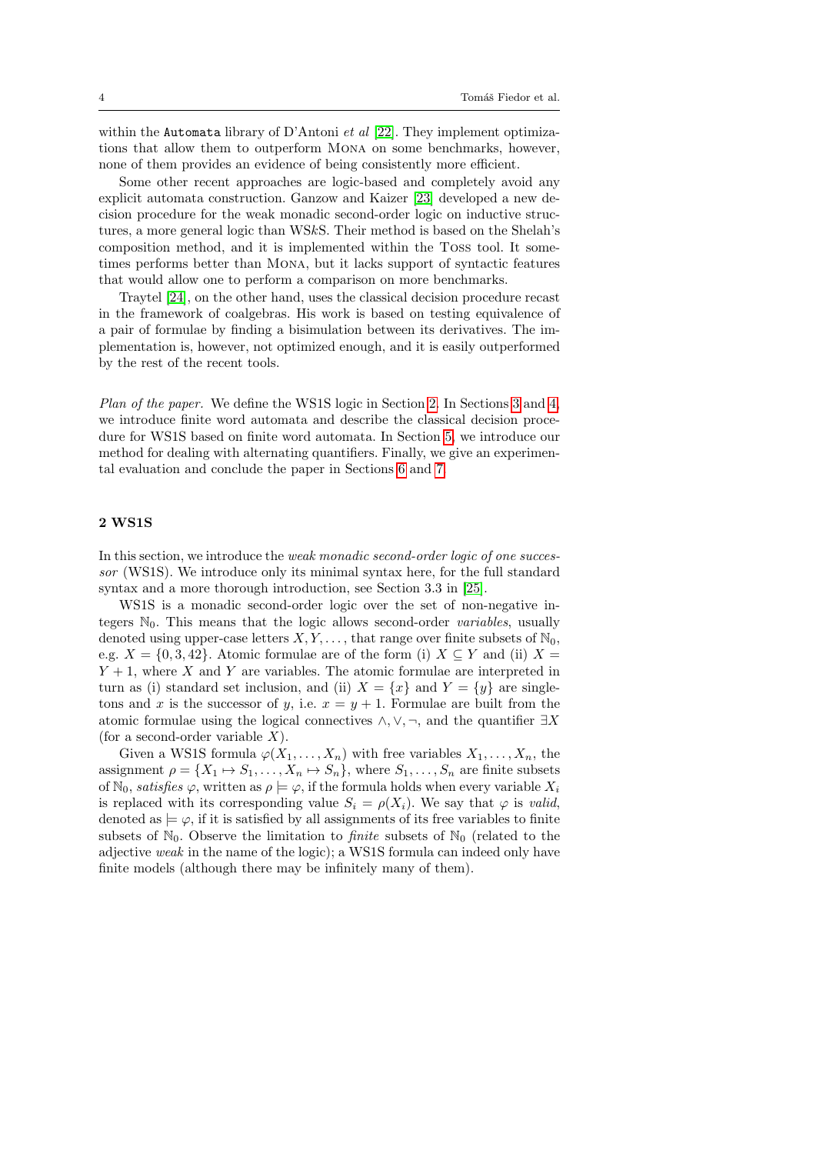within the Automata library of D'Antoni et al  $[22]$ . They implement optimizations that allow them to outperform Mona on some benchmarks, however, none of them provides an evidence of being consistently more efficient.

Some other recent approaches are logic-based and completely avoid any explicit automata construction. Ganzow and Kaizer [\[23\]](#page-26-20) developed a new decision procedure for the weak monadic second-order logic on inductive structures, a more general logic than WSkS. Their method is based on the Shelah's composition method, and it is implemented within the Toss tool. It sometimes performs better than Mona, but it lacks support of syntactic features that would allow one to perform a comparison on more benchmarks.

Traytel [\[24\]](#page-26-21), on the other hand, uses the classical decision procedure recast in the framework of coalgebras. His work is based on testing equivalence of a pair of formulae by finding a bisimulation between its derivatives. The implementation is, however, not optimized enough, and it is easily outperformed by the rest of the recent tools.

Plan of the paper. We define the WS1S logic in Section [2.](#page-3-0) In Sections [3](#page-4-0) and [4,](#page-6-0) we introduce finite word automata and describe the classical decision procedure for WS1S based on finite word automata. In Section [5,](#page-7-0) we introduce our method for dealing with alternating quantifiers. Finally, we give an experimental evaluation and conclude the paper in Sections [6](#page-21-0) and [7.](#page-25-2)

### <span id="page-3-0"></span>2 WS1S

In this section, we introduce the weak monadic second-order logic of one successor (WS1S). We introduce only its minimal syntax here, for the full standard syntax and a more thorough introduction, see Section 3.3 in [\[25\]](#page-27-0).

WS1S is a monadic second-order logic over the set of non-negative integers  $\mathbb{N}_0$ . This means that the logic allows second-order variables, usually denoted using upper-case letters  $X, Y, \ldots$ , that range over finite subsets of  $\mathbb{N}_0$ , e.g.  $X = \{0, 3, 42\}$ . Atomic formulae are of the form (i)  $X \subseteq Y$  and (ii)  $X =$  $Y + 1$ , where X and Y are variables. The atomic formulae are interpreted in turn as (i) standard set inclusion, and (ii)  $X = \{x\}$  and  $Y = \{y\}$  are singletons and x is the successor of y, i.e.  $x = y + 1$ . Formulae are built from the atomic formulae using the logical connectives  $\wedge$ ,  $\vee$ ,  $\neg$ , and the quantifier  $\exists X$ (for a second-order variable  $X$ ).

Given a WS1S formula  $\varphi(X_1, \ldots, X_n)$  with free variables  $X_1, \ldots, X_n$ , the assignment  $\rho = \{X_1 \mapsto S_1, \ldots, X_n \mapsto S_n\}$ , where  $S_1, \ldots, S_n$  are finite subsets of N<sub>0</sub>, satisfies  $\varphi$ , written as  $\rho \models \varphi$ , if the formula holds when every variable  $X_i$ is replaced with its corresponding value  $S_i = \rho(X_i)$ . We say that  $\varphi$  is valid, denoted as  $\models \varphi$ , if it is satisfied by all assignments of its free variables to finite subsets of  $\mathbb{N}_0$ . Observe the limitation to *finite* subsets of  $\mathbb{N}_0$  (related to the adjective weak in the name of the logic); a WS1S formula can indeed only have finite models (although there may be infinitely many of them).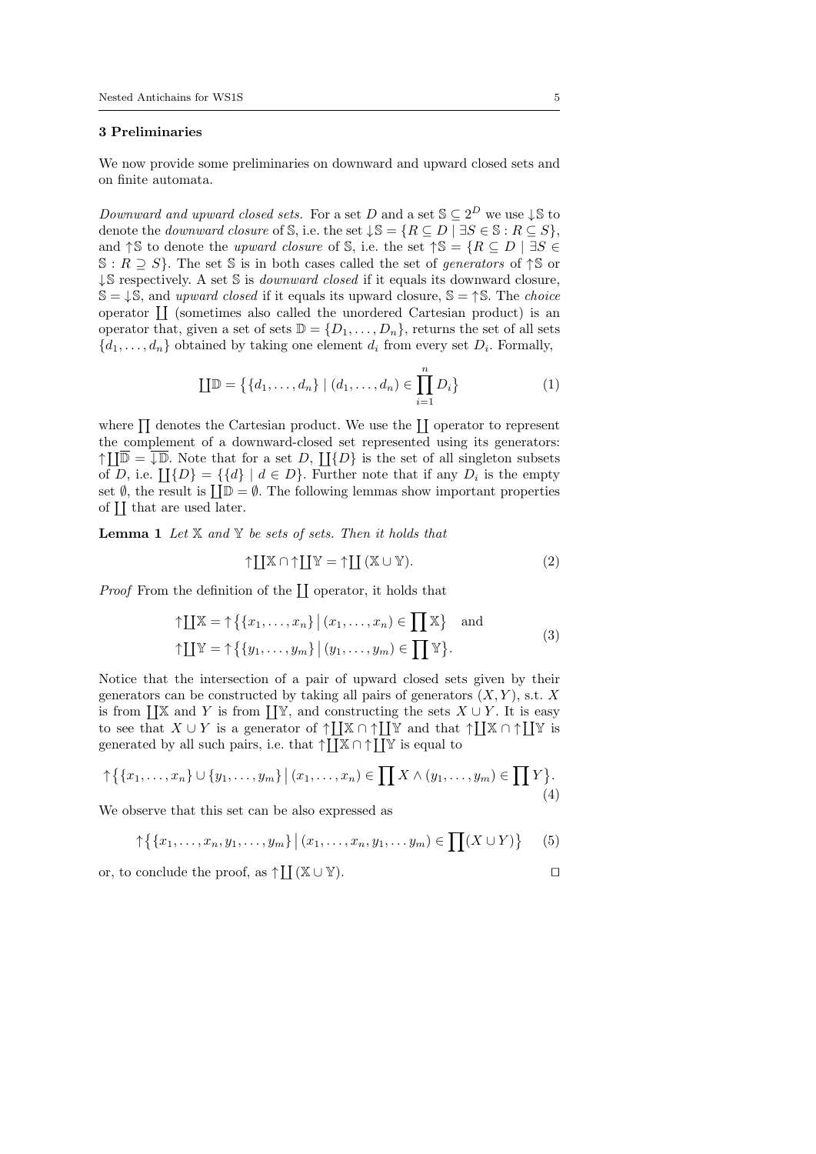## <span id="page-4-0"></span>3 Preliminaries

We now provide some preliminaries on downward and upward closed sets and on finite automata.

Downward and upward closed sets. For a set D and a set  $\mathbb{S} \subseteq 2^D$  we use  $\downarrow \mathbb{S}$  to denote the *downward closure* of  $\mathbb{S}$ , i.e. the set  $\downarrow \mathbb{S} = \{ R \subseteq D \mid \exists S \in \mathbb{S} : R \subseteq S \}$ , and  $\uparrow$ S to denote the *upward closure* of S, i.e. the set  $\uparrow$ S = { $R \subseteq D \mid \exists S \in$  $\mathbb{S}: R \supseteq S$ . The set S is in both cases called the set of generators of  $\uparrow$  S or  $\downarrow$ S respectively. A set S is *downward closed* if it equals its downward closure,  $\mathbb{S} = \downarrow \mathbb{S}$ , and upward closed if it equals its upward closure,  $\mathbb{S} = \uparrow \mathbb{S}$ . The choice operator  $\coprod$  (sometimes also called the unordered Cartesian product) is an operator that, given a set of sets  $\mathbb{D} = \{D_1, \ldots, D_n\}$ , returns the set of all sets  $\{d_1, \ldots, d_n\}$  obtained by taking one element  $d_i$  from every set  $D_i$ . Formally,

$$
\coprod \mathbb{D} = \{ \{d_1, \dots, d_n\} \mid (d_1, \dots, d_n) \in \prod_{i=1}^n D_i \}
$$
 (1)

where  $\prod$  denotes the Cartesian product. We use the  $\prod$  operator to represent the complement of a downward-closed set represented using its generators:  $\uparrow$   $\uparrow$   $\uparrow$   $\overline{\downarrow}$   $\overline{\mathbb{D}}$ . Note that for a set D,  $\coprod$  {D} is the set of all singleton subsets of D, i.e.  $\prod\{D\} = \{\{d\} \mid d \in D\}$ . Further note that if any  $D_i$  is the empty set  $\emptyset$ , the result is  $\prod \mathbb{D} = \emptyset$ . The following lemmas show important properties of  $\coprod$  that are used later.

**Lemma 1** Let  $X$  and  $Y$  be sets of sets. Then it holds that

<span id="page-4-1"></span>
$$
\uparrow \coprod \mathbb{X} \cap \uparrow \coprod \mathbb{Y} = \uparrow \coprod (\mathbb{X} \cup \mathbb{Y}). \tag{2}
$$

*Proof* From the definition of the  $\prod$  operator, it holds that

$$
\uparrow \coprod \mathbb{X} = \uparrow \{ \{x_1, \dots, x_n\} \mid (x_1, \dots, x_n) \in \prod \mathbb{X} \} \text{ and}
$$

$$
\uparrow \coprod \mathbb{Y} = \uparrow \{ \{y_1, \dots, y_m\} \mid (y_1, \dots, y_m) \in \prod \mathbb{Y} \}.
$$
 (3)

Notice that the intersection of a pair of upward closed sets given by their generators can be constructed by taking all pairs of generators  $(X, Y)$ , s.t. X is from  $\coprod X$  and Y is from  $\coprod Y$ , and constructing the sets  $X \cup Y$ . It is easy to see that  $X \cup Y$  is a generator of  $\uparrow$ [ $[\mathbb{X} \cap \uparrow]$ ] $[\mathbb{Y}$  and that  $\uparrow$ [ $[\mathbb{X} \cap \uparrow]$ ] $[\mathbb{Y}$  is generated by all such pairs, i.e. that  $\uparrow \prod \mathbb{X} \cap \uparrow \prod \mathbb{Y}$  is equal to

$$
\uparrow \{ \{x_1, \ldots, x_n\} \cup \{y_1, \ldots, y_m\} \mid (x_1, \ldots, x_n) \in \prod X \wedge (y_1, \ldots, y_m) \in \prod Y \}.
$$
\n
$$
(4)
$$

We observe that this set can be also expressed as

$$
\uparrow \{ \{x_1, \ldots, x_n, y_1, \ldots, y_m\} \mid (x_1, \ldots, x_n, y_1, \ldots, y_m) \in \prod (X \cup Y) \} \qquad (5)
$$

<span id="page-4-2"></span>or, to conclude the proof, as  $\uparrow$   $\upharpoonright$   $(X \cup Y)$ .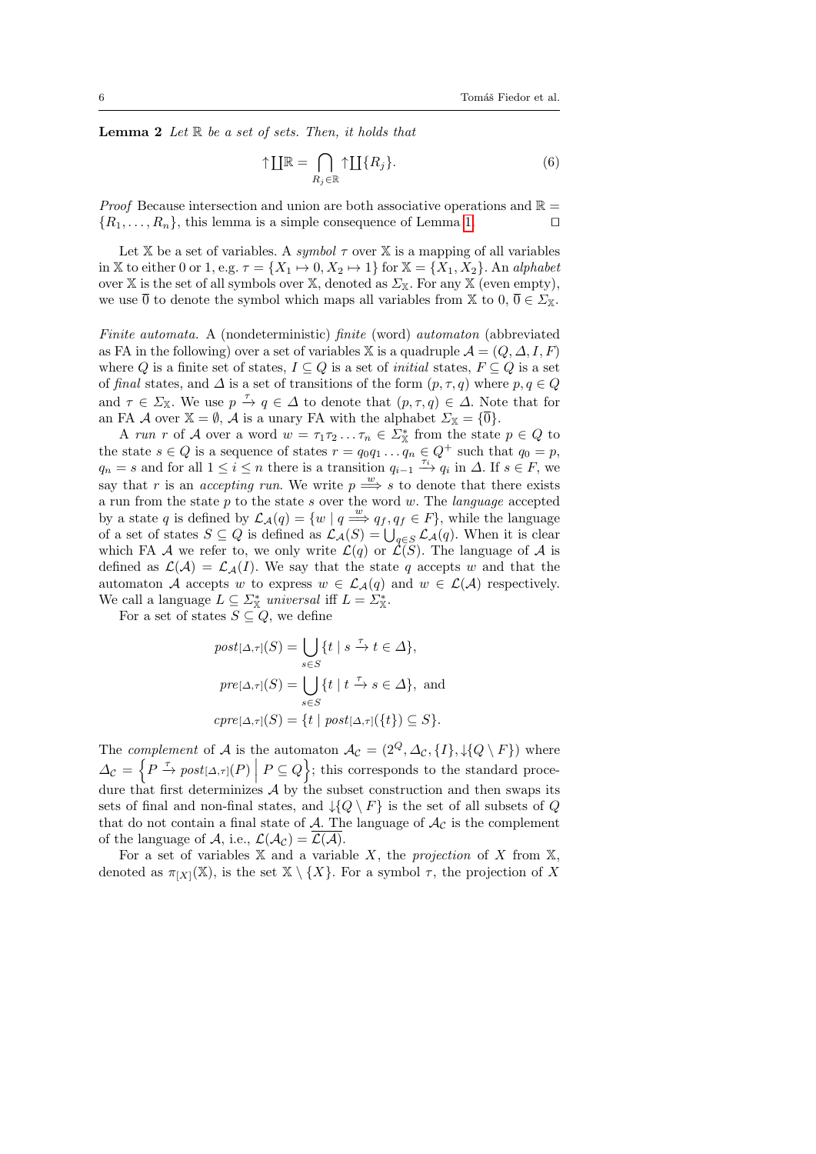**Lemma 2** Let  $\mathbb R$  be a set of sets. Then, it holds that

$$
\uparrow \coprod \mathbb{R} = \bigcap_{R_j \in \mathbb{R}} \uparrow \coprod \{R_j\}.
$$
 (6)

*Proof* Because intersection and union are both associative operations and  $\mathbb{R} =$  $\{R_1, \ldots, R_n\}$ , this lemma is a simple consequence of Lemma [1.](#page-4-1)

Let  $X$  be a set of variables. A *symbol*  $\tau$  over  $X$  is a mapping of all variables in X to either 0 or 1, e.g.  $\tau = \{X_1 \mapsto 0, X_2 \mapsto 1\}$  for  $X = \{X_1, X_2\}$ . An alphabet over X is the set of all symbols over X, denoted as  $\Sigma_{\mathbb{X}}$ . For any X (even empty), we use  $\overline{0}$  to denote the symbol which maps all variables from X to  $0, \overline{0} \in \Sigma_{\mathbb{X}}$ .

Finite automata. A (nondeterministic) finite (word) automaton (abbreviated as FA in the following) over a set of variables X is a quadruple  $\mathcal{A} = (Q, \Delta, I, F)$ where Q is a finite set of states,  $I \subseteq Q$  is a set of *initial* states,  $F \subseteq Q$  is a set of final states, and  $\Delta$  is a set of transitions of the form  $(p, \tau, q)$  where  $p, q \in Q$ and  $\tau \in \Sigma_{\mathbb{X}}$ . We use  $p \stackrel{\tau}{\rightarrow} q \in \Delta$  to denote that  $(p, \tau, q) \in \Delta$ . Note that for an FA A over  $\mathbb{X} = \emptyset$ , A is a unary FA with the alphabet  $\mathcal{Z}_{\mathbb{X}} = {\overline{0}}$ .

A run r of A over a word  $w = \tau_1 \tau_2 \dots \tau_n \in \Sigma_{\mathbb{X}}^*$  from the state  $p \in Q$  to the state  $s \in Q$  is a sequence of states  $r = q_0 q_1 \dots q_n \in Q^+$  such that  $q_0 = p$ ,  $q_n = s$  and for all  $1 \leq i \leq n$  there is a transition  $q_{i-1} \stackrel{\tau_i}{\longrightarrow} q_i$  in  $\Delta$ . If  $s \in F$ , we say that r is an *accepting run*. We write  $p \stackrel{w}{\Longrightarrow} s$  to denote that there exists a run from the state  $p$  to the state  $s$  over the word  $w$ . The *language* accepted by a state q is defined by  $\mathcal{L}_{\mathcal{A}}(q) = \{w \mid q \stackrel{w}{\Longrightarrow} q_f, q_f \in F\}$ , while the language of a set of states  $S \subseteq Q$  is defined as  $\mathcal{L}_{\mathcal{A}}(S) = \bigcup_{q \in S} \mathcal{L}_{\mathcal{A}}(q)$ . When it is clear which FA A we refer to, we only write  $\mathcal{L}(q)$  or  $\mathcal{L}(S)$ . The language of A is defined as  $\mathcal{L}(\mathcal{A}) = \mathcal{L}_{\mathcal{A}}(I)$ . We say that the state q accepts w and that the automaton A accepts w to express  $w \in \mathcal{L}_{\mathcal{A}}(q)$  and  $w \in \mathcal{L}(\mathcal{A})$  respectively. We call a language  $L \subseteq \Sigma_{\mathbb{X}}^*$  universal iff  $L = \Sigma_{\mathbb{X}}^*$ .

For a set of states  $S \subseteq Q$ , we define

$$
post[\Delta,\tau](S) = \bigcup_{s \in S} \{t \mid s \xrightarrow{\tau} t \in \Delta\},
$$

$$
pre[\Delta,\tau](S) = \bigcup_{s \in S} \{t \mid t \xrightarrow{\tau} s \in \Delta\}, \text{ and}
$$

$$
cpre[\Delta,\tau](S) = \{t \mid post[\Delta,\tau](\{t\}) \subseteq S\}.
$$

The *complement* of A is the automaton  $A_{\mathcal{C}} = (2^{\mathcal{Q}}, \Delta_{\mathcal{C}}, \{I\}, \downarrow \{Q \setminus F\})$  where  $\Delta_{\mathcal{C}} = \left\{P \xrightarrow{\tau} post(\Delta,\tau](P) \Big| P \subseteq Q\right\};$  this corresponds to the standard procedure that first determinizes  $\mathcal A$  by the subset construction and then swaps its sets of final and non-final states, and  $\downarrow{Q} \setminus F$  is the set of all subsets of Q that do not contain a final state of  $A$ . The language of  $A_{\mathcal{C}}$  is the complement of the language of A, i.e.,  $\mathcal{L}(\mathcal{A}_{\mathcal{C}}) = \mathcal{L}(\mathcal{A})$ .

For a set of variables  $X$  and a variable X, the projection of X from  $X$ , denoted as  $\pi_{[X]}(\mathbb{X})$ , is the set  $\mathbb{X} \setminus \{X\}$ . For a symbol  $\tau$ , the projection of X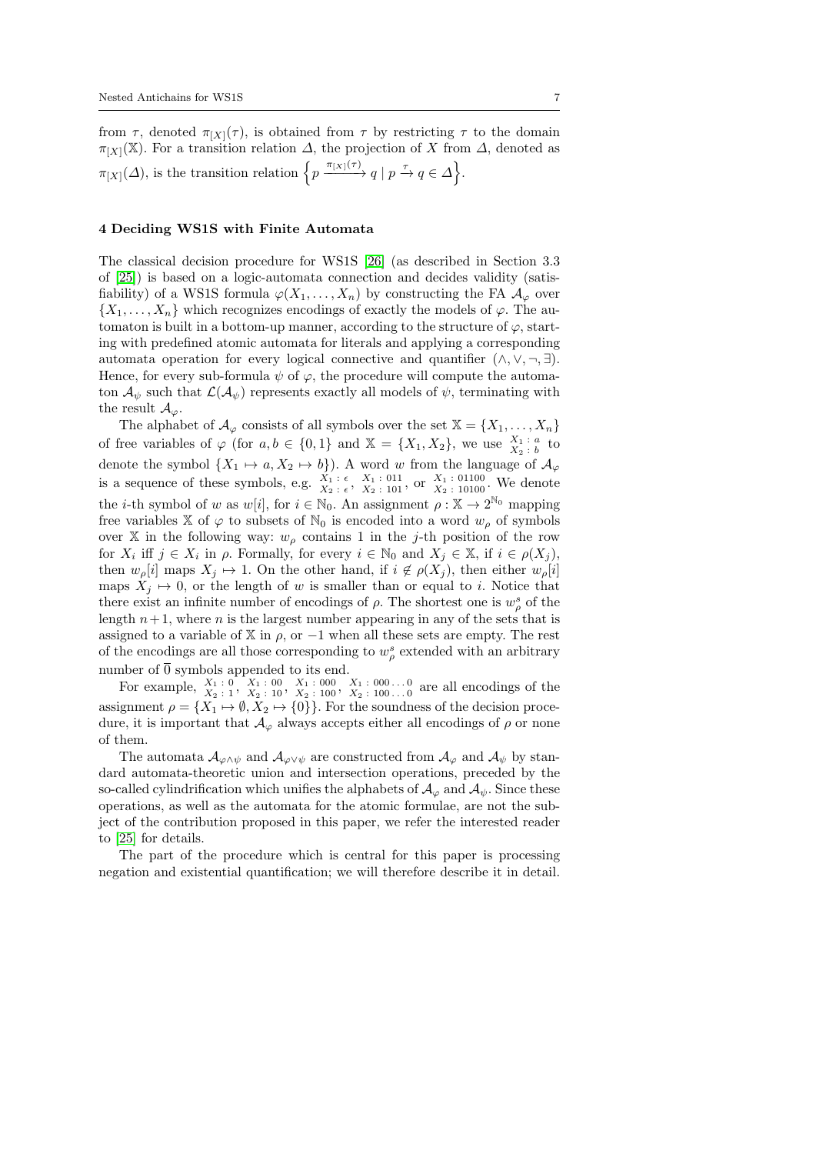from  $\tau$ , denoted  $\pi_{[X]}(\tau)$ , is obtained from  $\tau$  by restricting  $\tau$  to the domain  $\pi_{[X]}(\mathbb{X})$ . For a transition relation  $\Delta$ , the projection of X from  $\Delta$ , denoted as  $\pi_{[X]}(\Delta)$ , is the transition relation  $\left\{p \xrightarrow{\pi_{[X]}(\tau)} q \mid p \xrightarrow{\tau} q \in \Delta\right\}$ .

#### <span id="page-6-0"></span>4 Deciding WS1S with Finite Automata

The classical decision procedure for WS1S [\[26\]](#page-27-1) (as described in Section 3.3 of [\[25\]](#page-27-0)) is based on a logic-automata connection and decides validity (satisfiability) of a WS1S formula  $\varphi(X_1, \ldots, X_n)$  by constructing the FA  $\mathcal{A}_{\varphi}$  over  $\{X_1, \ldots, X_n\}$  which recognizes encodings of exactly the models of  $\varphi$ . The automaton is built in a bottom-up manner, according to the structure of  $\varphi$ , starting with predefined atomic automata for literals and applying a corresponding automata operation for every logical connective and quantifier  $(\wedge, \vee, \neg, \exists)$ . Hence, for every sub-formula  $\psi$  of  $\varphi$ , the procedure will compute the automaton  $\mathcal{A}_{\psi}$  such that  $\mathcal{L}(\mathcal{A}_{\psi})$  represents exactly all models of  $\psi$ , terminating with the result  $\mathcal{A}_{\varphi}$ .

The alphabet of  $\mathcal{A}_{\varphi}$  consists of all symbols over the set  $\mathbb{X} = \{X_1, \ldots, X_n\}$ of free variables of  $\varphi$  (for  $a, b \in \{0,1\}$  and  $\mathbb{X} = \{X_1, X_2\}$ , we use  $\frac{X_1 : a}{X_2 : b}$  to denote the symbol  $\{X_1 \mapsto a, X_2 \mapsto b\}$ . A word w from the language of  $\mathcal{A}_{\varphi}$ is a sequence of these symbols, e.g.  $X_1 : \epsilon \atop X_2 : \epsilon \atop X_2 : \epsilon \atop X_3 : 101, \text{ or } X_1 : 01100$ . We denote the *i*-th symbol of w as  $w[i]$ , for  $i \in \mathbb{N}_0$ . An assignment  $\rho : \mathbb{X} \to 2^{\mathbb{N}_0}$  mapping free variables X of  $\varphi$  to subsets of N<sub>0</sub> is encoded into a word  $w_{\rho}$  of symbols over X in the following way:  $w_{\rho}$  contains 1 in the j-th position of the row for  $X_i$  iff  $j \in X_i$  in  $\rho$ . Formally, for every  $i \in \mathbb{N}_0$  and  $X_j \in \mathbb{X}$ , if  $i \in \rho(X_j)$ , then  $w_{\rho}[i]$  maps  $X_j \mapsto 1$ . On the other hand, if  $i \notin \rho(X_j)$ , then either  $w_{\rho}[i]$ maps  $X_j \mapsto 0$ , or the length of w is smaller than or equal to i. Notice that there exist an infinite number of encodings of  $\rho$ . The shortest one is  $w_\rho^s$  of the length  $n+1$ , where n is the largest number appearing in any of the sets that is assigned to a variable of  $X$  in  $\rho$ , or  $-1$  when all these sets are empty. The rest of the encodings are all those corresponding to  $w_{\rho}^{s}$  extended with an arbitrary number of  $\overline{0}$  symbols appended to its end.

For example,  $\begin{array}{c} X_1: 0, X_1: 00, X_1: 000, X_1: 000...0 \ X_2: 1, X_2: 100, X_2: 100...0 \end{array}$  are all encodings of the assignment  $\rho = \{X_1 \mapsto \emptyset, X_2 \mapsto \{0\}\}\.$  For the soundness of the decision procedure, it is important that  $\mathcal{A}_{\varphi}$  always accepts either all encodings of  $\rho$  or none of them.

The automata  $\mathcal{A}_{\varphi \wedge \psi}$  and  $\mathcal{A}_{\varphi \vee \psi}$  are constructed from  $\mathcal{A}_{\varphi}$  and  $\mathcal{A}_{\psi}$  by standard automata-theoretic union and intersection operations, preceded by the so-called cylindrification which unifies the alphabets of  $\mathcal{A}_{\varphi}$  and  $\mathcal{A}_{\psi}$ . Since these operations, as well as the automata for the atomic formulae, are not the subject of the contribution proposed in this paper, we refer the interested reader to [\[25\]](#page-27-0) for details.

The part of the procedure which is central for this paper is processing negation and existential quantification; we will therefore describe it in detail.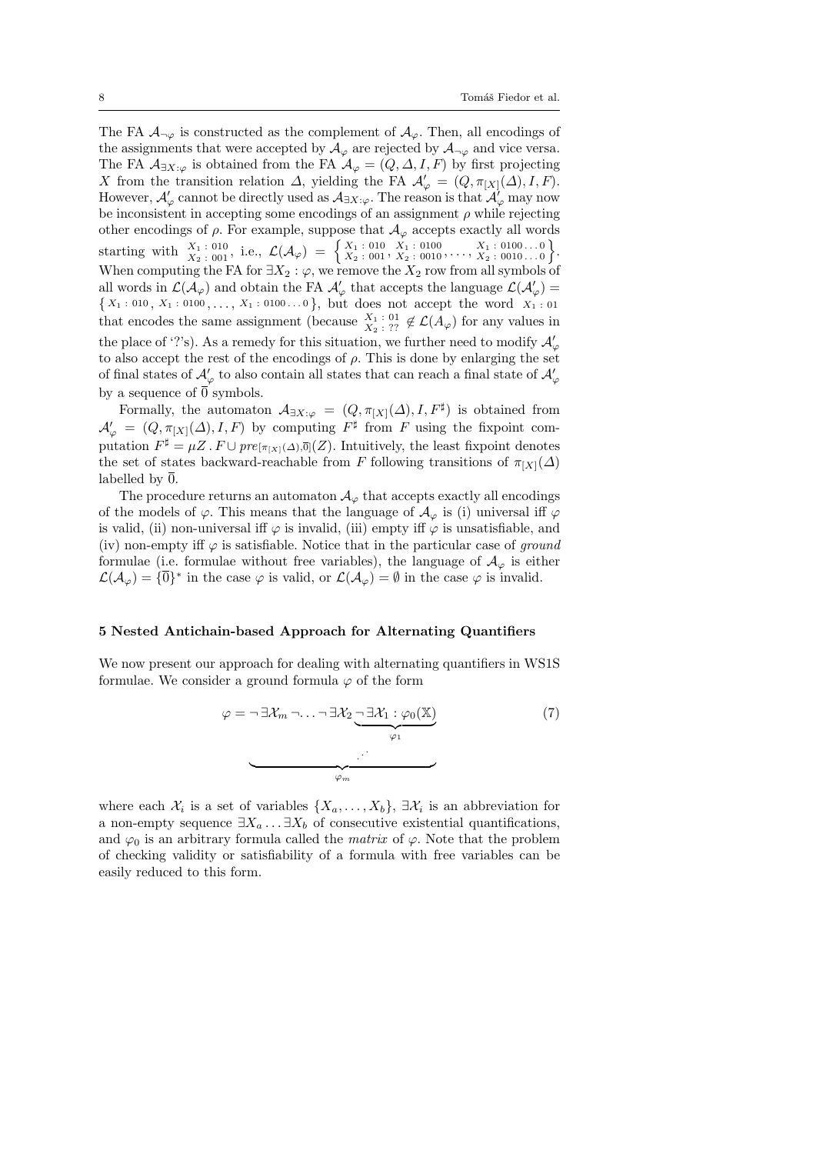The FA  $\mathcal{A}_{\neg\varphi}$  is constructed as the complement of  $\mathcal{A}_{\varphi}$ . Then, all encodings of the assignments that were accepted by  $\mathcal{A}_{\varphi}$  are rejected by  $\mathcal{A}_{\neg \varphi}$  and vice versa. The FA  $\mathcal{A}_{\exists X:\varphi}$  is obtained from the FA  $\mathcal{A}_{\varphi} = (Q, \Delta, I, F)$  by first projecting X from the transition relation  $\Delta$ , yielding the FA  $\mathcal{A}'_{\varphi} = (Q, \pi_{[X]}(\Delta), I, F)$ . However,  $\mathcal{A}'_{\varphi}$  cannot be directly used as  $\mathcal{A}_{\exists X:\varphi}$ . The reason is that  $\mathcal{A}'_{\varphi}$  may now be inconsistent in accepting some encodings of an assignment  $\rho$  while rejecting other encodings of  $\rho$ . For example, suppose that  $\mathcal{A}_{\varphi}$  accepts exactly all words  $\text{starting with }\begin{array}{l} X_1: \text{010}, \ X_2: \text{001}, \ \text{i.e., }\mathcal{L}(\mathcal{A}_\varphi) \ = \ \Big\{ \begin{array}{l} X_1: \text{010}, \ X_1: \text{0100}, \ldots, \ X_2: \text{0010}, \ldots, \ X_2: \text{0010}, \ldots, \end{array} \Big\}. \end{array}$ When computing the FA for  $\exists X_2 : \varphi$ , we remove the  $X_2$  row from all symbols of all words in  $\mathcal{L}(\mathcal{A}_{\varphi})$  and obtain the FA  $\mathcal{A}'_{\varphi}$  that accepts the language  $\mathcal{L}(\mathcal{A}'_{\varphi}) =$  $\{X_1: 010, X_1: 0100, \ldots, X_1: 0100 \ldots 0\}$ , but does not accept the word  $X_1: 01$ that encodes the same assignment (because  $\frac{X_1:01}{X_2:7?} \notin \mathcal{L}(A_{\varphi})$  for any values in the place of '?'s). As a remedy for this situation, we further need to modify  $\mathcal{A}'_{\varphi}$ to also accept the rest of the encodings of  $\rho$ . This is done by enlarging the set of final states of  $\mathcal{A}'_{\varphi}$  to also contain all states that can reach a final state of  $\mathcal{A}'_{\varphi}$ by a sequence of  $\overline{0}$  symbols.

Formally, the automaton  $\mathcal{A}_{\exists X:\varphi} = (Q, \pi_{[X]}(\Delta), I, F^{\sharp})$  is obtained from  $\mathcal{A}'_{\varphi} = (Q, \pi_{[X]}(\Delta), I, F)$  by computing  $F^{\sharp}$  from F using the fixpoint computation  $F^{\sharp} = \mu Z \cdot F \cup pre_{[\pi[x]}(\Delta), \overline{0]}(Z)$ . Intuitively, the least fixpoint denotes the set of states backward-reachable from F following transitions of  $\pi_{[X]}(\Delta)$ labelled by  $\overline{0}$ .

The procedure returns an automaton  $\mathcal{A}_{\varphi}$  that accepts exactly all encodings of the models of  $\varphi$ . This means that the language of  $\mathcal{A}_{\varphi}$  is (i) universal iff  $\varphi$ is valid, (ii) non-universal iff  $\varphi$  is invalid, (iii) empty iff  $\varphi$  is unsatisfiable, and (iv) non-empty iff  $\varphi$  is satisfiable. Notice that in the particular case of ground formulae (i.e. formulae without free variables), the language of  $A_{\varphi}$  is either  $\mathcal{L}(\mathcal{A}_{\varphi}) = {\overline{0}}^*$  in the case  $\varphi$  is valid, or  $\mathcal{L}(\mathcal{A}_{\varphi}) = \emptyset$  in the case  $\varphi$  is invalid.

## <span id="page-7-0"></span>5 Nested Antichain-based Approach for Alternating Quantifiers

We now present our approach for dealing with alternating quantifiers in WS1S formulae. We consider a ground formula  $\varphi$  of the form

<span id="page-7-1"></span>
$$
\varphi = \neg \exists \mathcal{X}_m \neg \dots \neg \exists \mathcal{X}_2 \underbrace{\neg \exists \mathcal{X}_1 : \varphi_0(\mathbb{X})}_{\varphi_1}
$$
\n(7)

where each  $\mathcal{X}_i$  is a set of variables  $\{X_a, \ldots, X_b\}$ ,  $\exists \mathcal{X}_i$  is an abbreviation for a non-empty sequence  $\exists X_a \dots \exists X_b$  of consecutive existential quantifications, and  $\varphi_0$  is an arbitrary formula called the *matrix* of  $\varphi$ . Note that the problem of checking validity or satisfiability of a formula with free variables can be easily reduced to this form.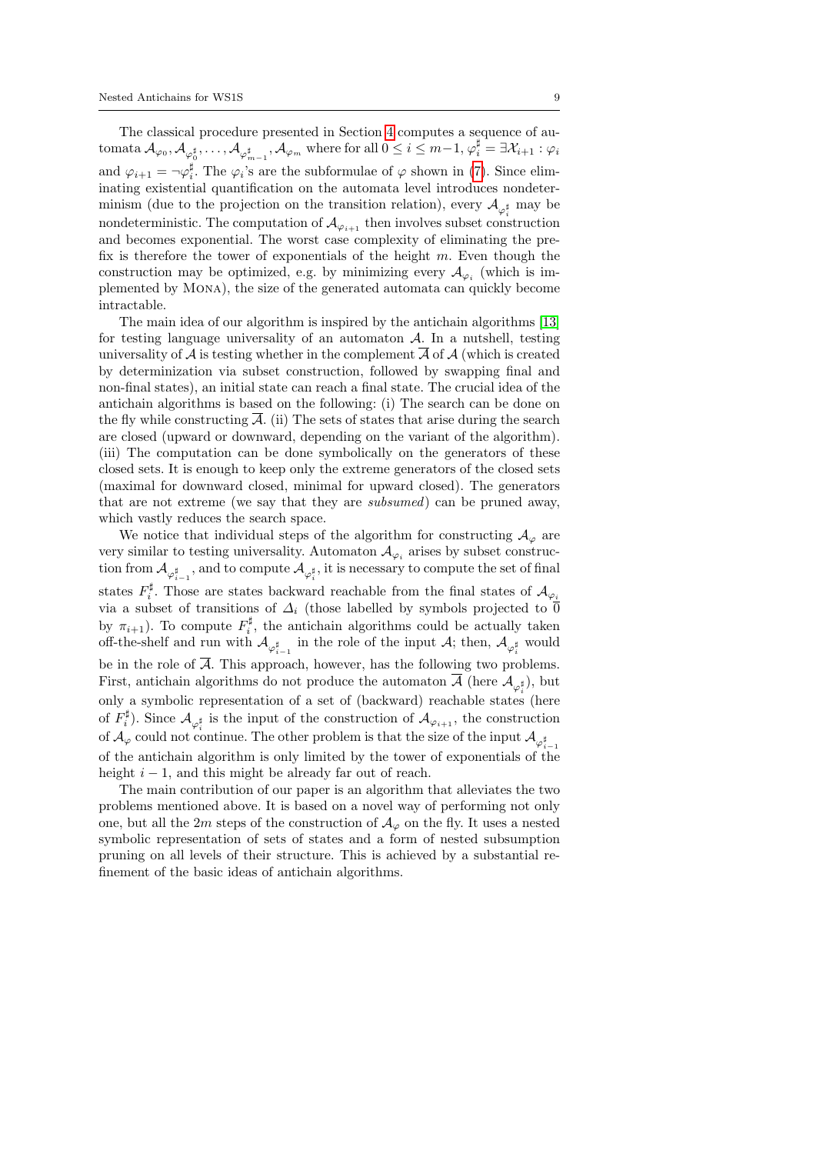The classical procedure presented in Section [4](#page-6-0) computes a sequence of au- $\mathcal{A}_{\varphi_0}, \mathcal{A}_{\varphi_0^\sharp}, \ldots, \mathcal{A}_{\varphi_{m-1}^\sharp}, \mathcal{A}_{\varphi_m} \text{ where for all } 0 \leq i \leq m-1, \, \varphi_i^\sharp = \exists \mathcal{X}_{i+1} : \varphi_i$ and  $\varphi_{i+1} = \neg \varphi_i^{\sharp}$ . The  $\varphi_i$ 's are the subformulae of  $\varphi$  shown in [\(7\)](#page-7-1). Since eliminating existential quantification on the automata level introduces nondeterminism (due to the projection on the transition relation), every  $\mathcal{A}_{\varphi_i^{\sharp}}$  may be nondeterministic. The computation of  $\mathcal{A}_{\varphi_{i+1}}$  then involves subset construction and becomes exponential. The worst case complexity of eliminating the prefix is therefore the tower of exponentials of the height  $m$ . Even though the construction may be optimized, e.g. by minimizing every  $\mathcal{A}_{\varphi_i}$  (which is implemented by Mona), the size of the generated automata can quickly become intractable.

The main idea of our algorithm is inspired by the antichain algorithms [\[13\]](#page-26-10) for testing language universality of an automaton  $A$ . In a nutshell, testing universality of A is testing whether in the complement  $\overline{A}$  of A (which is created by determinization via subset construction, followed by swapping final and non-final states), an initial state can reach a final state. The crucial idea of the antichain algorithms is based on the following: (i) The search can be done on the fly while constructing  $\overline{A}$ . (ii) The sets of states that arise during the search are closed (upward or downward, depending on the variant of the algorithm). (iii) The computation can be done symbolically on the generators of these closed sets. It is enough to keep only the extreme generators of the closed sets (maximal for downward closed, minimal for upward closed). The generators that are not extreme (we say that they are subsumed) can be pruned away, which vastly reduces the search space.

We notice that individual steps of the algorithm for constructing  $A_{\varphi}$  are very similar to testing universality. Automaton  $\mathcal{A}_{\varphi_i}$  arises by subset construction from  $\mathcal{A}_{\varphi_{i-1}^\sharp}$ , and to compute  $\mathcal{A}_{\varphi_i^\sharp}$ , it is necessary to compute the set of final states  $F_i^{\sharp}$ . Those are states backward reachable from the final states of  $\mathcal{A}_{\varphi_i}$ via a subset of transitions of  $\Delta_i$  (those labelled by symbols projected to  $\overline{0}$ by  $\pi_{i+1}$ ). To compute  $F_i^{\sharp}$ , the antichain algorithms could be actually taken off-the-shelf and run with  $\mathcal{A}_{\varphi_{i-1}^{\sharp}}$  in the role of the input  $\mathcal{A}$ ; then,  $\mathcal{A}_{\varphi_i^{\sharp}}$  would be in the role of  $\overline{\mathcal{A}}$ . This approach, however, has the following two problems. First, antichain algorithms do not produce the automaton  $\mathcal{A}$  (here  $\mathcal{A}_{\varphi_i^{\sharp}}$ ), but only a symbolic representation of a set of (backward) reachable states (here of  $F_i^{\sharp}$ ). Since  $\mathcal{A}_{\varphi_i^{\sharp}}$  is the input of the construction of  $\mathcal{A}_{\varphi_{i+1}}$ , the construction of  $\mathcal{A}_{\varphi}$  could not continue. The other problem is that the size of the input  $\mathcal{A}_{\varphi_{i-1}^\sharp}$ of the antichain algorithm is only limited by the tower of exponentials of the height  $i - 1$ , and this might be already far out of reach.

The main contribution of our paper is an algorithm that alleviates the two problems mentioned above. It is based on a novel way of performing not only one, but all the 2m steps of the construction of  $A_{\varphi}$  on the fly. It uses a nested symbolic representation of sets of states and a form of nested subsumption pruning on all levels of their structure. This is achieved by a substantial refinement of the basic ideas of antichain algorithms.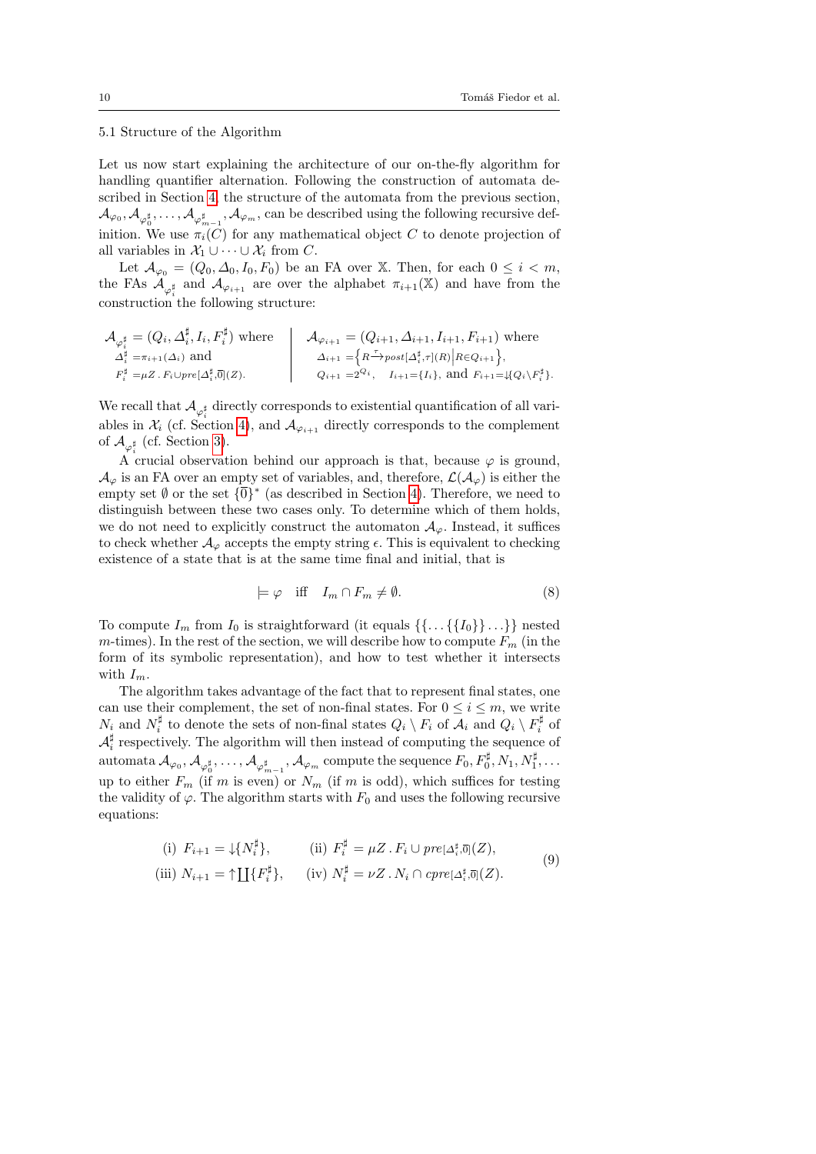<span id="page-9-1"></span>5.1 Structure of the Algorithm

Let us now start explaining the architecture of our on-the-fly algorithm for handling quantifier alternation. Following the construction of automata described in Section [4,](#page-6-0) the structure of the automata from the previous section,  $\mathcal{A}_{\varphi_0}, \mathcal{A}_{\varphi_0^\sharp}, \ldots, \mathcal{A}_{\varphi_{m-1}^\sharp}, \mathcal{A}_{\varphi_m}, \text{ can be described using the following recursive def$ inition. We use  $\pi_i(C)$  for any mathematical object C to denote projection of all variables in  $\mathcal{X}_1 \cup \cdots \cup \mathcal{X}_i$  from C.

Let  $\mathcal{A}_{\varphi_0} = (Q_0, \Delta_0, I_0, F_0)$  be an FA over X. Then, for each  $0 \leq i < m$ , the FAs  $\mathcal{A}_{\varphi_i^{\sharp}}$  and  $\mathcal{A}_{\varphi_{i+1}}$  are over the alphabet  $\pi_{i+1}(\mathbb{X})$  and have from the construction the following structure:

$$
\mathcal{A}_{\varphi_i^{\sharp}} = (Q_i, \Delta_i^{\sharp}, I_i, F_i^{\sharp}) \text{ where } \mathcal{A}_{\varphi_{i+1}} = (Q_{i+1}, \Delta_{i+1}, I_{i+1}, F_{i+1}) \text{ where } \mathcal{A}_{i}^{\sharp} = \pi_{i+1}(\Delta_i) \text{ and } \mathcal{A}_{i+1} = \left\{ R^{\mathcal{I}} \rightarrow post[\Delta_i^{\sharp}, \tau](R) \middle| R \in Q_{i+1} \right\},
$$
\n
$$
F_i^{\sharp} = \mu Z \cdot F_i \cup pre[\Delta_i^{\sharp}, \overline{0}](Z). \qquad Q_{i+1} = 2^{Q_i}, \quad I_{i+1} = \{I_i\}, \text{ and } F_{i+1} = \downarrow Q_i \setminus F_i^{\sharp}.
$$

We recall that  $\mathcal{A}_{\varphi_i^{\sharp}}$  directly corresponds to existential quantification of all variables in  $\mathcal{X}_i$  (cf. Section [4\)](#page-6-0), and  $\mathcal{A}_{\varphi_{i+1}}$  directly corresponds to the complement of  $\mathcal{A}_{\varphi_i^{\sharp}}$  (cf. Section [3\)](#page-4-0).

A crucial observation behind our approach is that, because  $\varphi$  is ground,  $\mathcal{A}_{\varphi}$  is an FA over an empty set of variables, and, therefore,  $\mathcal{L}(\mathcal{A}_{\varphi})$  is either the empty set  $\emptyset$  or the set  $\{\overline{0}\}^*$  (as described in Section [4\)](#page-6-0). Therefore, we need to distinguish between these two cases only. To determine which of them holds, we do not need to explicitly construct the automaton  $\mathcal{A}_{\varphi}$ . Instead, it suffices to check whether  $\mathcal{A}_{\varphi}$  accepts the empty string  $\epsilon$ . This is equivalent to checking existence of a state that is at the same time final and initial, that is

$$
\models \varphi \quad \text{iff} \quad I_m \cap F_m \neq \emptyset. \tag{8}
$$

To compute  $I_m$  from  $I_0$  is straightforward (it equals  $\{\{\ldots\{\{I_0\}\}\ldots\}\}\)$  nested m-times). In the rest of the section, we will describe how to compute  $F_m$  (in the form of its symbolic representation), and how to test whether it intersects with  $I_m$ .

The algorithm takes advantage of the fact that to represent final states, one can use their complement, the set of non-final states. For  $0 \le i \le m$ , we write  $N_i$  and  $N_i^{\sharp}$  to denote the sets of non-final states  $Q_i \setminus F_i$  of  $\mathcal{A}_i$  and  $Q_i \setminus F_i^{\sharp}$  of  $\mathcal{A}_i^{\sharp}$  respectively. The algorithm will then instead of computing the sequence of  $\text{automata } \mathcal{A}_{\varphi_0}, \mathcal{A}_{\varphi_0^\sharp}, \dots, \mathcal{A}_{\varphi_{m-1}^\sharp}, \mathcal{A}_{\varphi_m} \text{ compute the sequence } F_0, F_0^\sharp, N_1, N_1^\sharp, \dots$ up to either  $F_m$  (if m is even) or  $N_m$  (if m is odd), which suffices for testing the validity of  $\varphi$ . The algorithm starts with  $F_0$  and uses the following recursive equations:

<span id="page-9-0"></span>(i) 
$$
F_{i+1} = \downarrow \{N_i^{\sharp}\},
$$
 (ii)  $F_i^{\sharp} = \mu Z \cdot F_i \cup pre[\Delta_i^{\sharp}, \overline{0}](Z),$   
(iii)  $N_{i+1} = \uparrow \coprod \{F_i^{\sharp}\},$  (iv)  $N_i^{\sharp} = \nu Z \cdot N_i \cap \text{cpre}[\Delta_i^{\sharp}, \overline{0}](Z).$  (9)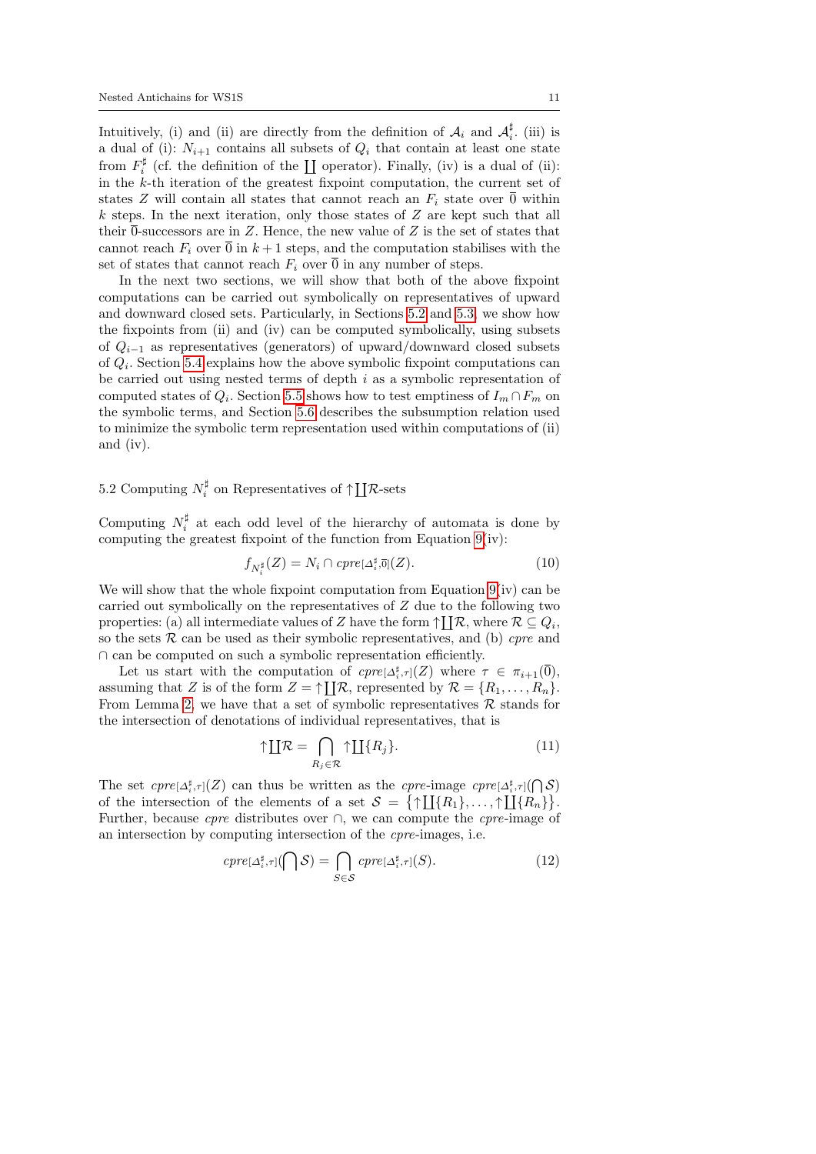Intuitively, (i) and (ii) are directly from the definition of  $\mathcal{A}_i$  and  $\mathcal{A}_i^{\sharp}$ . (iii) is a dual of (i):  $N_{i+1}$  contains all subsets of  $Q_i$  that contain at least one state from  $F_i^{\sharp}$  (cf. the definition of the  $\coprod$  operator). Finally, (iv) is a dual of (ii): in the k-th iteration of the greatest fixpoint computation, the current set of states Z will contain all states that cannot reach an  $F_i$  state over  $\overline{0}$  within k steps. In the next iteration, only those states of Z are kept such that all their  $\overline{0}$ -successors are in Z. Hence, the new value of Z is the set of states that cannot reach  $F_i$  over  $\overline{0}$  in  $k+1$  steps, and the computation stabilises with the set of states that cannot reach  $F_i$  over  $\overline{0}$  in any number of steps.

In the next two sections, we will show that both of the above fixpoint computations can be carried out symbolically on representatives of upward and downward closed sets. Particularly, in Sections [5.2](#page-10-0) and [5.3,](#page-12-0) we show how the fixpoints from (ii) and (iv) can be computed symbolically, using subsets of  $Q_{i-1}$  as representatives (generators) of upward/downward closed subsets of  $Q_i$ . Section [5.4](#page-15-0) explains how the above symbolic fixpoint computations can be carried out using nested terms of depth  $i$  as a symbolic representation of computed states of  $Q_i$ . Section [5.5](#page-19-0) shows how to test emptiness of  $I_m \cap F_m$  on the symbolic terms, and Section [5.6](#page-20-0) describes the subsumption relation used to minimize the symbolic term representation used within computations of (ii) and (iv).

# <span id="page-10-0"></span>5.2 Computing  $N_i^{\sharp}$  on Representatives of  $\uparrow \coprod \mathcal{R}$ -sets

Computing  $N_i^{\sharp}$  at each odd level of the hierarchy of automata is done by computing the greatest fixpoint of the function from Equation [9\(](#page-9-0)iv):

$$
f_{N_i^{\sharp}}(Z) = N_i \cap \operatorname{cpre}[\Delta_i^{\sharp}, \overline{\mathfrak{g}}](Z). \tag{10}
$$

We will show that the whole fixpoint computation from Equation  $9(iv)$  can be carried out symbolically on the representatives of Z due to the following two properties: (a) all intermediate values of Z have the form  $\uparrow \coprod \mathcal{R}$ , where  $\mathcal{R} \subseteq Q_i$ , so the sets  $\mathcal R$  can be used as their symbolic representatives, and (b) *cpre* and ∩ can be computed on such a symbolic representation efficiently.

Let us start with the computation of  $cpre[\Delta_i^{\sharp},\tau](Z)$  where  $\tau \in \pi_{i+1}(\overline{0}),$ assuming that Z is of the form  $Z = \uparrow \coprod \mathcal{R}$ , represented by  $\mathcal{R} = \{R_1, \ldots, R_n\}$ . From Lemma [2,](#page-4-2) we have that a set of symbolic representatives  $\mathcal R$  stands for the intersection of denotations of individual representatives, that is

<span id="page-10-2"></span><span id="page-10-1"></span>
$$
\uparrow \coprod \mathcal{R} = \bigcap_{R_j \in \mathcal{R}} \uparrow \coprod \{R_j\}.
$$
 (11)

The set  $cpre[\Delta_i^{\sharp},\tau](Z)$  can thus be written as the  $cpre\text{-image } cpre[\Delta_i^{\sharp},\tau](\bigcap S)$ of the intersection of the elements of a set  $S = \{\uparrow \coprod \{R_1\}, \ldots, \uparrow \coprod \{R_n\}\}.$ Further, because cpre distributes over ∩, we can compute the cpre-image of an intersection by computing intersection of the cpre-images, i.e.

$$
cpre[\Delta_i^{\sharp}, \tau](\bigcap \mathcal{S}) = \bigcap_{S \in \mathcal{S}} cpre[\Delta_i^{\sharp}, \tau](S). \tag{12}
$$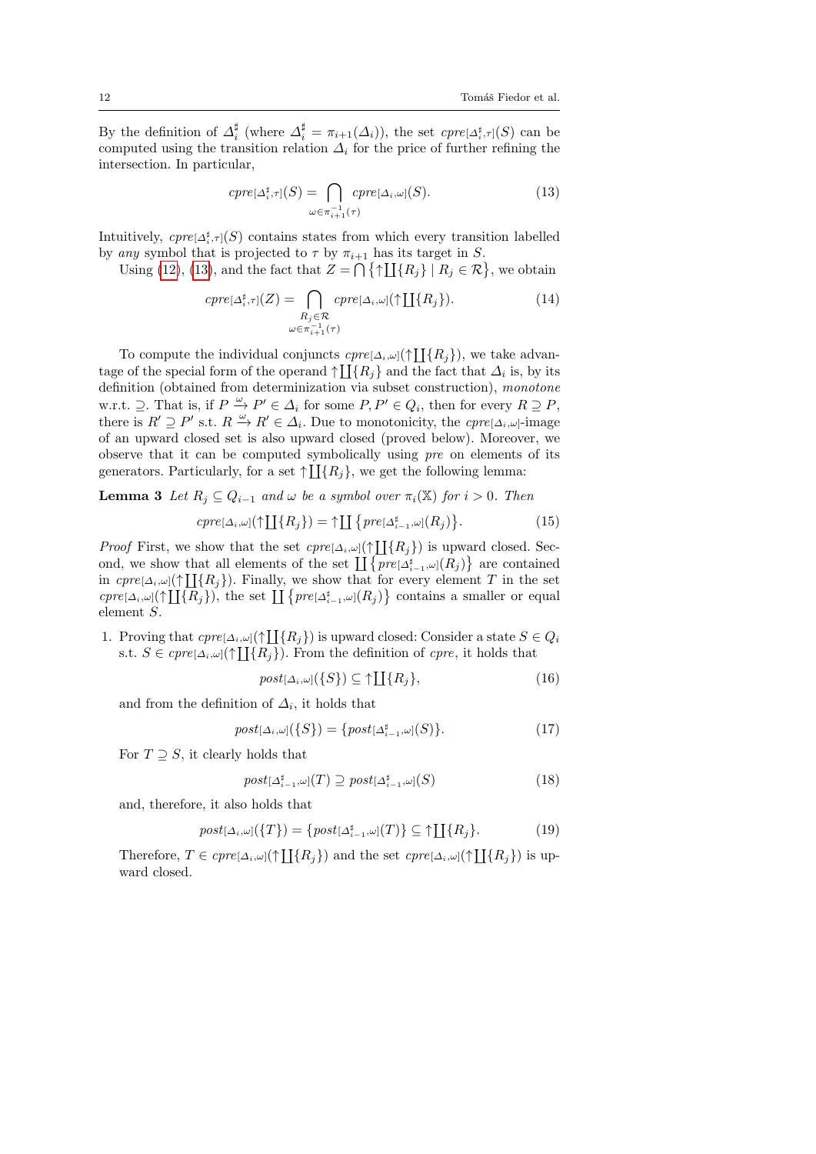By the definition of  $\Delta_i^{\sharp}$  (where  $\Delta_i^{\sharp} = \pi_{i+1}(\Delta_i)$ ), the set  $cpre[\Delta_i^{\sharp}, \tau](S)$  can be computed using the transition relation  $\Delta_i$  for the price of further refining the intersection. In particular,

<span id="page-11-1"></span><span id="page-11-0"></span>
$$
cpre[\Delta_i^{\sharp}, \tau](S) = \bigcap_{\omega \in \pi_{i+1}^{-1}(\tau)} cpre[\Delta_i, \omega](S).
$$
 (13)

Intuitively,  $cpre[\Delta_i^{\sharp},\tau](S)$  contains states from which every transition labelled by any symbol that is projected to  $\tau$  by  $\pi_{i+1}$  has its target in S.

Using [\(12\)](#page-10-1), [\(13\)](#page-11-0), and the fact that  $Z = \bigcap {\{\uparrow \coprod {\{R_j\}} \mid R_j \in \mathcal{R}\}}$ , we obtain

$$
cpre[\Delta_i^{\sharp}, \tau](Z) = \bigcap_{\substack{R_j \in \mathcal{R} \\ \omega \in \pi_{i+1}^{-1}(\tau)}} cpre[\Delta_i, \omega](\uparrow \coprod \{R_j\}).
$$
\n(14)

To compute the individual conjuncts  $c pre[\Delta_i,\omega](\uparrow \coprod \{R_j\})$ , we take advantage of the special form of the operand  $\uparrow \coprod \{R_j\}$  and the fact that  $\Delta_i$  is, by its definition (obtained from determinization via subset construction), monotone w.r.t. ⊇. That is, if  $P \xrightarrow{\omega} P' \in \Delta_i$  for some  $P, P' \in Q_i$ , then for every  $R \supseteq P$ , there is  $R' \supseteq P'$  s.t.  $R \stackrel{\omega}{\rightarrow} R' \in \Delta_i$ . Due to monotonicity, the  $cpre[\Delta_i,\omega]$ -image of an upward closed set is also upward closed (proved below). Moreover, we observe that it can be computed symbolically using pre on elements of its generators. Particularly, for a set  $\uparrow \coprod \{R_j\}$ , we get the following lemma:

<span id="page-11-2"></span>**Lemma 3** Let  $R_j \subseteq Q_{i-1}$  and  $\omega$  be a symbol over  $\pi_i(\mathbb{X})$  for  $i > 0$ . Then

$$
cpre[\Delta_i,\omega](\uparrow \coprod \{R_j\}) = \uparrow \coprod \{pre[\Delta_{i-1}^{\sharp},\omega](R_j)\}.
$$
\n(15)

*Proof* First, we show that the set  $cpre[\Delta_i,\omega](\uparrow \coprod \{R_j\})$  is upward closed. Second, we show that all elements of the set  $\coprod \{ pre[\Delta_{i-1}^{\sharp}, \omega](R_j) \}$  are contained in  $cpre[\Delta_i,\omega](\uparrow \coprod \{R_j\})$ . Finally, we show that for every element T in the set cpre[ $\Delta_i$ ,ω]( $\uparrow \prod\{R_j\}$ ), the set  $\prod\{pre[\Delta_{i=1}^{\sharp},\omega](R_j)\}$  contains a smaller or equal element S.

1. Proving that  $cpre[\Delta_i,\omega](\uparrow \coprod \{R_j\})$  is upward closed: Consider a state  $S \in Q_i$ s.t.  $S \in cpre[\Delta_i, \omega](\uparrow \coprod \{R_j\})$ . From the definition of cpre, it holds that

$$
post[\Delta_i, \omega](\{S\}) \subseteq \uparrow \coprod \{R_j\},\tag{16}
$$

and from the definition of  $\Delta_i$ , it holds that

$$
post[\Delta_i, \omega](\{S\}) = \{post[\Delta_{i-1}^{\sharp}, \omega](S)\}.
$$
\n(17)

For  $T \supset S$ , it clearly holds that

$$
post[\Delta_{i-1}^{\sharp}, \omega](T) \supseteq post[\Delta_{i-1}^{\sharp}, \omega](S)
$$
\n(18)

and, therefore, it also holds that

$$
post[\Delta_i, \omega](\{T\}) = \{post[\Delta_{i-1}^{\sharp}, \omega](T)\} \subseteq \uparrow \coprod \{R_j\}.
$$
 (19)

Therefore,  $T \in \text{cpre}[\Delta_i, \omega](\uparrow \coprod \{R_j\})$  and the set  $\text{cpre}[\Delta_i, \omega](\uparrow \coprod \{R_j\})$  is upward closed.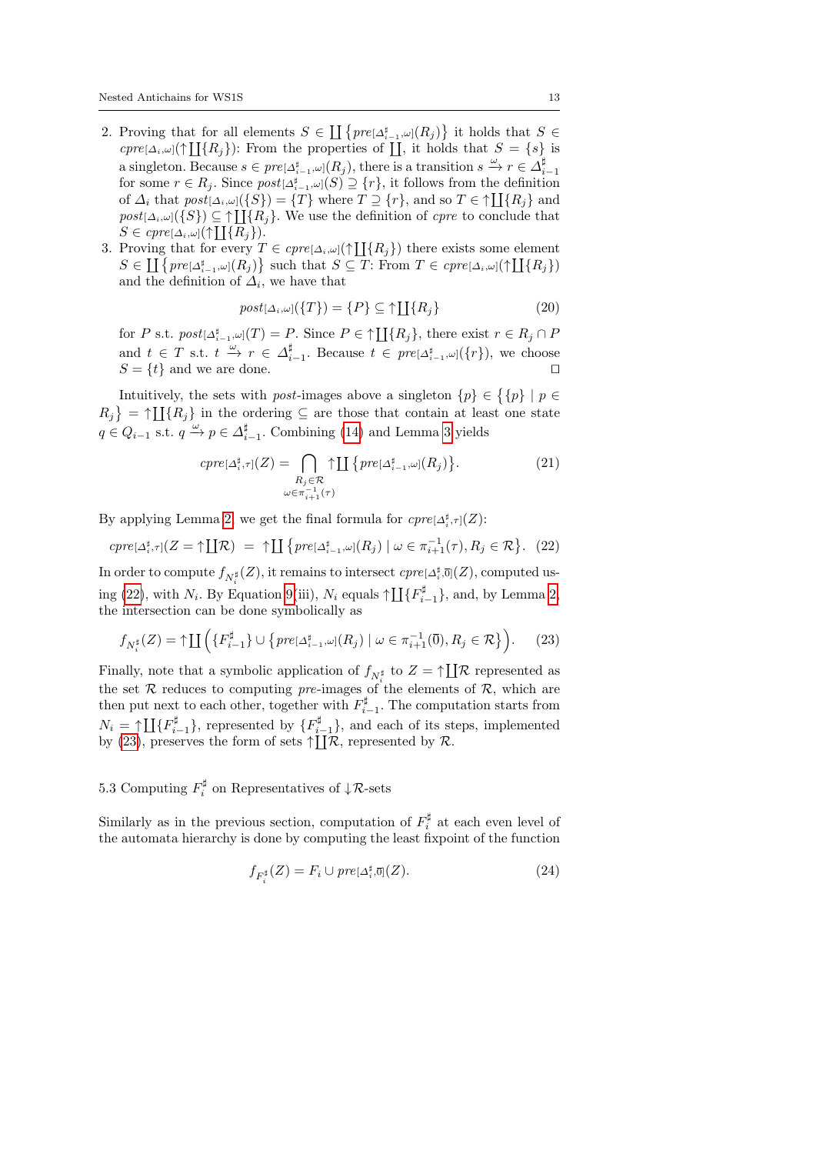- 2. Proving that for all elements  $S \in \coprod \{ pre[\Delta_{i-1}^{\sharp}, \omega](R_j) \}$  it holds that  $S \in$ cpre[ $\Delta_i$ , $\omega$ ]( $\uparrow \prod\{R_j\}$ ): From the properties of  $\prod$ , it holds that  $S = \{s\}$  is a singleton. Because  $s \in pre[\Delta_{i-1}^{\sharp}, \omega](R_j)$ , there is a transition  $s \xrightarrow{\omega} r \in \Delta_{i-1}^{\sharp}$ for some  $r \in R_j$ . Since  $post[\Delta_{i-1}^{\sharp}, \omega](S) \supseteq \{r\}$ , it follows from the definition of  $\Delta_i$  that  $post[\Delta_i, \omega](\{S\}) = \{T\}$  where  $T \supseteq \{r\}$ , and so  $T \in \uparrow \coprod \{R_j\}$  and  $post[\Delta_i, \omega](\{S\}) \subseteq \uparrow \coprod \{R_j\}.$  We use the definition of *cpre* to conclude that  $S \in \mathit{cpre}[\Delta_i, \omega] (\uparrow \coprod \{R_j\}).$
- 3. Proving that for every  $T \in cpre[\Delta_i,\omega](\uparrow \coprod \{R_j\})$  there exists some element  $S \in \coprod \{ pre[\Delta_{i-1}^{\sharp}, \omega](R_j) \}$  such that  $S \subseteq T$ : From  $T \in cpre[\Delta_i, \omega](\uparrow \coprod \{R_j\})$ and the definition of  $\Delta_i$ , we have that

$$
post[\Delta_i, \omega](\{T\}) = \{P\} \subseteq \uparrow \coprod \{R_j\} \tag{20}
$$

for P s.t.  $post[\Delta_{i-1}^{\sharp}, \omega](T) = P$ . Since  $P \in \uparrow \coprod \{R_j\}$ , there exist  $r \in R_j \cap P$ and  $t \in T$  s.t.  $t \stackrel{\omega}{\to} r \in \Delta_{i-1}^{\sharp}$ . Because  $t \in pre[\Delta_{i-1}^{\sharp}, \omega](\lbrace r \rbrace)$ , we choose  $S = \{t\}$  and we are done.

Intuitively, the sets with *post*-images above a singleton  $\{p\} \in \{\{p\} \mid p \in \mathbb{R}\}$  $R_j$  =  $\uparrow \coprod \{R_j\}$  in the ordering  $\subseteq$  are those that contain at least one state  $q \in Q_{i-1}$  s.t.  $q \xrightarrow{\omega} p \in \Delta_{i-1}^{\sharp}$ . Combining [\(14\)](#page-11-1) and Lemma [3](#page-11-2) yields

<span id="page-12-2"></span><span id="page-12-1"></span>
$$
cpre[\Delta_i^{\sharp}, \tau](Z) = \bigcap_{\substack{R_j \in \mathcal{R} \\ \omega \in \pi_{i+1}^{-1}(\tau)}} \uparrow \coprod \{ pre[\Delta_{i-1}^{\sharp}, \omega](R_j) \}.
$$
 (21)

By applying Lemma [2,](#page-4-2) we get the final formula for  $cpre[\Delta_i^{\sharp}, \tau](Z)$ :

$$
cpre[\Delta_i^{\sharp}, \tau](Z=\uparrow \coprod \mathcal{R}) = \uparrow \coprod \left\{ pre[\Delta_{i-1}^{\sharp}, \omega](R_j) \mid \omega \in \pi_{i+1}^{-1}(\tau), R_j \in \mathcal{R} \right\}. (22)
$$

In order to compute  $f_{N_i^{\sharp}}(Z)$ , it remains to intersect  $cpre[\Delta_i^{\sharp},\overline{0}](Z)$ , computed us-ing [\(22\)](#page-12-1), with  $N_i$ . By Equation [9\(](#page-9-0)iii),  $N_i$  equals  $\uparrow \coprod \{F_{i-1}^{\sharp}\}\,$  and, by Lemma [2,](#page-4-2) the intersection can be done symbolically as

$$
f_{N_i^{\sharp}}(Z) = \uparrow \coprod \left( \{ F_{i-1}^{\sharp} \} \cup \{ pre[\Delta_{i-1}^{\sharp}, \omega] (R_j) \mid \omega \in \pi_{i+1}^{-1}(\overline{0}), R_j \in \mathcal{R} \} \right). \tag{23}
$$

Finally, note that a symbolic application of  $f_{N^{\sharp}_{i}}$  to  $Z = \uparrow \coprod \mathcal{R}$  represented as the set R reduces to computing pre-images of the elements of R, which are then put next to each other, together with  $F_{i-1}^{\sharp}$ . The computation starts from  $N_i = \uparrow \coprod \{F_{i-1}^{\sharp}\},$  represented by  $\{F_{i-1}^{\sharp}\},$  and each of its steps, implemented by [\(23\)](#page-12-2), preserves the form of sets  $\uparrow$  [[R, represented by R.

# <span id="page-12-0"></span>5.3 Computing  $F_i^{\sharp}$  on Representatives of  $\downarrow \mathcal{R}$ -sets

Similarly as in the previous section, computation of  $F_i^{\sharp}$  at each even level of the automata hierarchy is done by computing the least fixpoint of the function

$$
f_{F_i^{\sharp}}(Z) = F_i \cup pre[\Delta_i^{\sharp}, \overline{0}](Z). \tag{24}
$$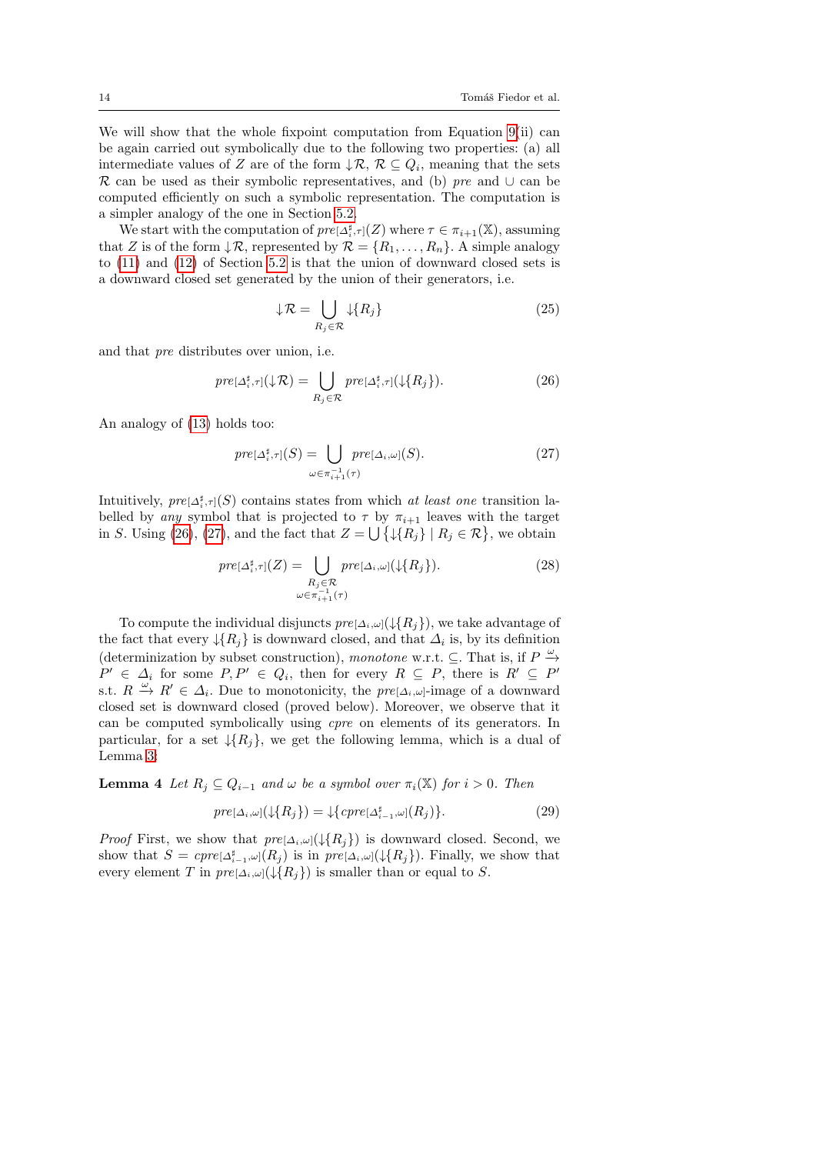We will show that the whole fixpoint computation from Equation  $9(ii)$  can be again carried out symbolically due to the following two properties: (a) all intermediate values of Z are of the form  $\downarrow \mathcal{R}, \mathcal{R} \subseteq Q_i$ , meaning that the sets R can be used as their symbolic representatives, and (b) pre and  $\cup$  can be computed efficiently on such a symbolic representation. The computation is a simpler analogy of the one in Section [5.2.](#page-10-0)

We start with the computation of  $pre[\Delta_i^{\sharp}, \tau](Z)$  where  $\tau \in \pi_{i+1}(\mathbb{X})$ , assuming that Z is of the form  $\downarrow \mathcal{R}$ , represented by  $\mathcal{R} = \{R_1, \ldots, R_n\}$ . A simple analogy to [\(11\)](#page-10-2) and [\(12\)](#page-10-1) of Section [5.2](#page-10-0) is that the union of downward closed sets is a downward closed set generated by the union of their generators, i.e.

<span id="page-13-4"></span><span id="page-13-0"></span>
$$
\downarrow \mathcal{R} = \bigcup_{R_j \in \mathcal{R}} \downarrow \{R_j\} \tag{25}
$$

and that pre distributes over union, i.e.

$$
pre[\Delta_i^{\sharp}, \tau](\downarrow \mathcal{R}) = \bigcup_{R_j \in \mathcal{R}} pre[\Delta_i^{\sharp}, \tau](\downarrow \{R_j\}).
$$
\n(26)

An analogy of [\(13\)](#page-11-0) holds too:

<span id="page-13-2"></span><span id="page-13-1"></span>
$$
pre[\Delta_i^{\sharp}, \tau](S) = \bigcup_{\omega \in \pi_{i+1}^{-1}(\tau)} pre[\Delta_{i}, \omega](S).
$$
 (27)

Intuitively,  $pre[\Delta_i^{\sharp}, \tau](S)$  contains states from which at least one transition labelled by any symbol that is projected to  $\tau$  by  $\pi_{i+1}$  leaves with the target in S. Using [\(26\)](#page-13-0), [\(27\)](#page-13-1), and the fact that  $Z = \bigcup \{ \downarrow \{R_j\} \mid R_j \in \mathcal{R} \},\$  we obtain

$$
pre[\Delta_i^{\sharp}, \tau](Z) = \bigcup_{\substack{R_j \in \mathcal{R} \\ \omega \in \pi_{i+1}^{-1}(\tau)}} pre[\Delta_i, \omega](\downarrow \{R_j\}).
$$
\n(28)

To compute the individual disjuncts  $pre[\Delta_i,\omega](\downarrow \{R_i\})$ , we take advantage of the fact that every  $\downarrow$ { $R_j$ } is downward closed, and that  $\Delta_i$  is, by its definition (determinization by subset construction), monotone w.r.t.  $\subseteq$ . That is, if  $P \stackrel{\omega}{\rightarrow}$  $P' \in \Delta_i$  for some  $P, P' \in Q_i$ , then for every  $R \subseteq P$ , there is  $R' \subseteq P'$ s.t.  $R \stackrel{\omega}{\rightarrow} R' \in \Delta_i$ . Due to monotonicity, the  $pre[\Delta_i,\omega]$ -image of a downward closed set is downward closed (proved below). Moreover, we observe that it can be computed symbolically using cpre on elements of its generators. In particular, for a set  $\{R_i\}$ , we get the following lemma, which is a dual of Lemma [3:](#page-11-2)

<span id="page-13-3"></span>**Lemma 4** Let  $R_j \subseteq Q_{i-1}$  and  $\omega$  be a symbol over  $\pi_i(\mathbb{X})$  for  $i > 0$ . Then

$$
pre[\Delta_i, \omega](\downarrow \{R_j\}) = \downarrow \{cpre[\Delta_{i-1}^{\sharp}, \omega](R_j)\}.
$$
\n(29)

*Proof* First, we show that  $pre[\Delta_i,\omega](\downarrow{R_i})$  is downward closed. Second, we show that  $S = \text{cpre}[\Delta_{i-1}^{\sharp}, \omega](R_j)$  is in  $\text{pre}[\Delta_i, \omega](\downarrow{R_j})$ . Finally, we show that every element T in  $pre[\Delta_i,\omega](\sqrt{k_i})$  is smaller than or equal to S.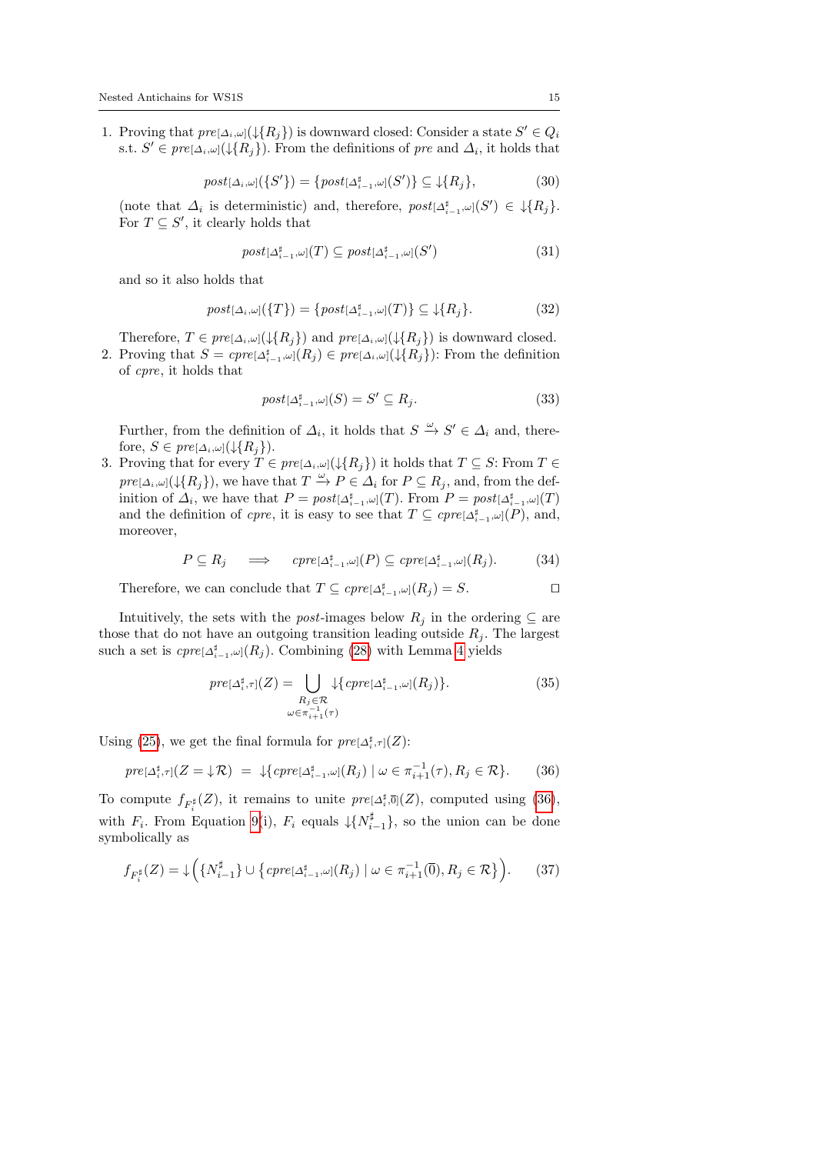1. Proving that  $pre[\Delta_i,\omega](\downarrow{R_j})$  is downward closed: Consider a state  $S' \in Q_i$ s.t.  $S' \in pre[\Delta_i, \omega] (\downarrow \{R_j\})$ . From the definitions of pre and  $\Delta_i$ , it holds that

$$
post[\Delta_i, \omega]({S'}]) = \{post[\Delta_{i-1}^{\sharp}, \omega]({S'})\} \subseteq \downarrow \{R_j\},
$$
\n(30)

(note that  $\Delta_i$  is deterministic) and, therefore,  $post[\Delta_{i-1}^{\sharp}, \omega](S') \in \mathcal{L}{R_j}.$ For  $T \subseteq S'$ , it clearly holds that

$$
post[\Delta_{i-1}^{\sharp},\omega](T) \subseteq post[\Delta_{i-1}^{\sharp},\omega](S') \tag{31}
$$

and so it also holds that

$$
post[\Delta_i, \omega](\{T\}) = \{post[\Delta_{i-1}^{\sharp}, \omega](T)\} \subseteq \downarrow \{R_j\}.
$$
 (32)

Therefore,  $T \in pre[\Delta_i, \omega] (\downarrow {R_i})$  and  $pre[\Delta_i, \omega] (\downarrow {R_i})$  is downward closed.

2. Proving that  $S = \text{cpre}[\Delta_{i-1}^{\sharp}, \omega](R_j) \in \text{pre}[\Delta_i, \omega](\downarrow{R_j})$ : From the definition of cpre, it holds that

$$
post[\Delta_{i-1}^{\sharp}, \omega](S) = S' \subseteq R_j.
$$
\n(33)

Further, from the definition of  $\Delta_i$ , it holds that  $S \stackrel{\omega}{\to} S' \in \Delta_i$  and, therefore,  $S \in pre[\Delta_i, \omega] (\downarrow {R_j}).$ 

3. Proving that for every  $T \in pre[\Delta_i,\omega](\downarrow {R_j})$  it holds that  $T \subseteq S$ : From  $T \in$  $pre[\Delta_i,\omega](\downarrow \{R_j\}),$  we have that  $T \stackrel{\omega}{\rightarrow} P \in \Delta_i$  for  $P \subseteq R_j$ , and, from the definition of  $\Delta_i$ , we have that  $P = post[\Delta_{i-1}^{\sharp}, \omega](T)$ . From  $P = post[\Delta_{i-1}^{\sharp}, \omega](T)$ and the definition of *cpre*, it is easy to see that  $T \subseteq \text{cpre}[\Delta_{i-1}^{\sharp}, \omega](P)$ , and, moreover,

$$
P \subseteq R_j \quad \implies \quad \text{cpre}[\Delta_{i-1}^{\sharp}, \omega](P) \subseteq \text{cpre}[\Delta_{i-1}^{\sharp}, \omega](R_j). \tag{34}
$$

Therefore, we can conclude that  $T \subseteq \text{cpre}[\Delta_{i-1}^{\sharp}, \omega](R_j) = S.$ 

Intuitively, the sets with the *post*-images below  $R_i$  in the ordering  $\subseteq$  are those that do not have an outgoing transition leading outside  $R_j$ . The largest such a set is  $cpre[\Delta_{i=1}^{\sharp},\omega](R_j)$ . Combining [\(28\)](#page-13-2) with Lemma [4](#page-13-3) yields

<span id="page-14-0"></span>
$$
pre[\Delta_i^{\sharp}, \tau](Z) = \bigcup_{\substack{R_j \in \mathcal{R} \\ \omega \in \pi_{i+1}^{-1}(\tau)}} \downarrow \{cpre[\Delta_{i-1}^{\sharp}, \omega](R_j)\}.
$$
\n(35)

Using [\(25\)](#page-13-4), we get the final formula for  $pre[\Delta_i^{\sharp}, \tau](Z)$ :

$$
pre[\Delta_i^{\sharp}, \tau](Z = \downarrow \mathcal{R}) = \downarrow \{ \text{cpre}[\Delta_{i-1}^{\sharp}, \omega](R_j) \mid \omega \in \pi_{i+1}^{-1}(\tau), R_j \in \mathcal{R} \}. \tag{36}
$$

To compute  $f_{F_i^{\sharp}}(Z)$ , it remains to unite  $pre[\Delta_i^{\sharp},\overline{0}](Z)$ , computed using [\(36\)](#page-14-0), with  $F_i$ . From Equation [9\(](#page-9-0)i),  $F_i$  equals  $\downarrow \{N_{i-1}^{\sharp}\}\,$ , so the union can be done symbolically as

<span id="page-14-1"></span>
$$
f_{F_i^{\sharp}}(Z) = \downarrow \left( \{ N_{i-1}^{\sharp} \} \cup \{ \text{cpre}[\Delta_{i-1}^{\sharp}, \omega] \left( R_j \right) \mid \omega \in \pi_{i+1}^{-1}(\overline{0}), R_j \in \mathcal{R} \} \right). \tag{37}
$$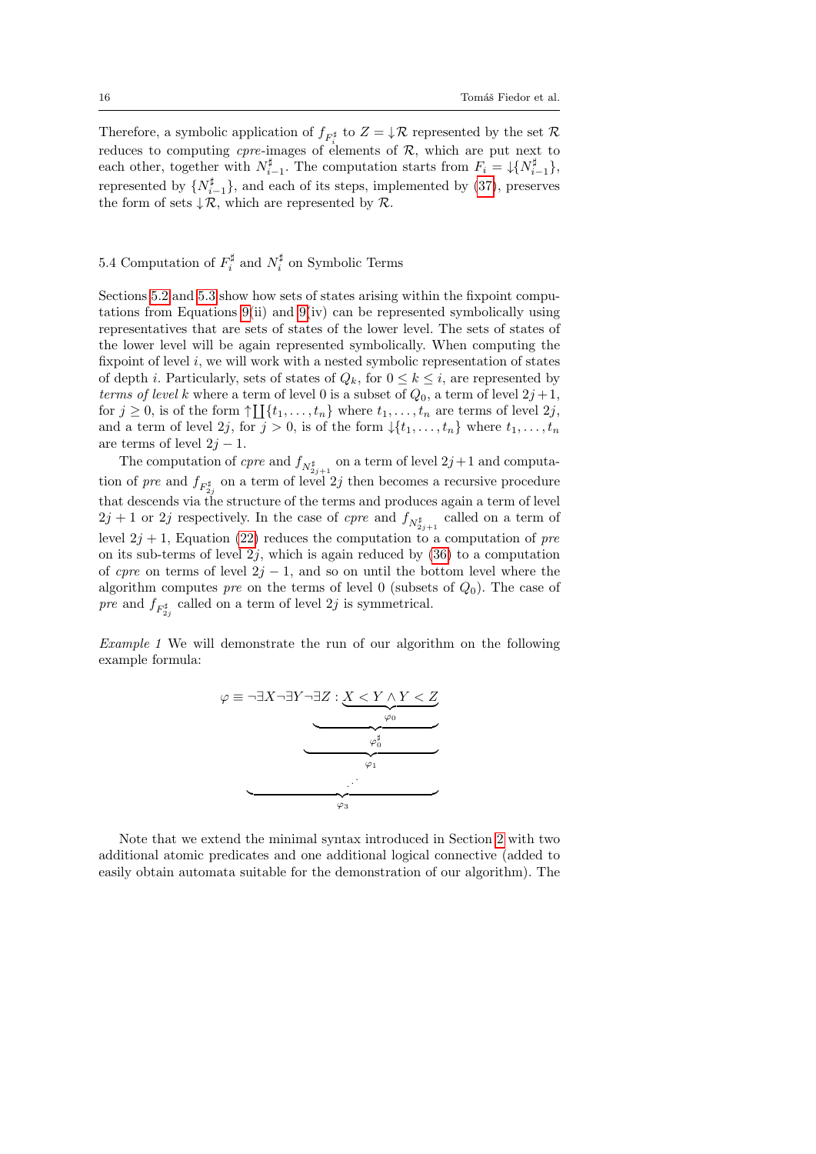Therefore, a symbolic application of  $f_{F_i^{\sharp}}$  to  $Z = \downarrow \mathcal{R}$  represented by the set  $\mathcal{R}$ reduces to computing *cpre*-images of elements of  $\mathcal{R}$ , which are put next to each other, together with  $N_{i-1}^{\sharp}$ . The computation starts from  $F_i = \downarrow \lbrace N_{i-1}^{\sharp} \rbrace$ , represented by  $\{N_{i-1}^{\sharp}\}\$ , and each of its steps, implemented by [\(37\)](#page-14-1), preserves the form of sets  $\downarrow \mathcal{R}$ , which are represented by  $\mathcal{R}$ .

# <span id="page-15-0"></span>5.4 Computation of  $F_i^{\sharp}$  and  $N_i^{\sharp}$  on Symbolic Terms

Sections [5.2](#page-10-0) and [5.3](#page-12-0) show how sets of states arising within the fixpoint computations from Equations  $9(ii)$  and  $9(iv)$  can be represented symbolically using representatives that are sets of states of the lower level. The sets of states of the lower level will be again represented symbolically. When computing the fixpoint of level  $i$ , we will work with a nested symbolic representation of states of depth *i*. Particularly, sets of states of  $Q_k$ , for  $0 \leq k \leq i$ , are represented by terms of level k where a term of level 0 is a subset of  $Q_0$ , a term of level  $2j+1$ , for  $j \geq 0$ , is of the form  $\uparrow \coprod \{t_1, \ldots, t_n\}$  where  $t_1, \ldots, t_n$  are terms of level  $2j$ , and a term of level 2j, for  $j > 0$ , is of the form  $\{t_1, \ldots, t_n\}$  where  $t_1, \ldots, t_n$ are terms of level  $2j - 1$ .

The computation of *cpre* and  $f_{N^{\sharp}_{2j+1}}$  on a term of level  $2j+1$  and computation of *pre* and  $f_{F_{2j}^{\sharp}}$  on a term of level 2*j* then becomes a recursive procedure that descends via the structure of the terms and produces again a term of level  $2j + 1$  or  $2j$  respectively. In the case of *cpre* and  $f_{N^{\sharp}_{2j+1}}$  called on a term of level  $2j + 1$ , Equation [\(22\)](#page-12-1) reduces the computation to a computation of pre on its sub-terms of level  $2j$ , which is again reduced by  $(36)$  to a computation of cpre on terms of level  $2j - 1$ , and so on until the bottom level where the algorithm computes pre on the terms of level 0 (subsets of  $Q_0$ ). The case of *pre* and  $f_{F_{2j}^{\sharp}}$  called on a term of level  $2j$  is symmetrical.

<span id="page-15-1"></span>Example 1 We will demonstrate the run of our algorithm on the following example formula:

ϕ ≡ ¬∃X¬∃Y ¬∃Z : X < Y ∧ Y < Z | {z } ϕ<sup>0</sup> | {z } ϕ ] 0 | {z } ϕ<sup>1</sup> . . . | {z } ϕ<sup>3</sup>

Note that we extend the minimal syntax introduced in Section [2](#page-3-0) with two additional atomic predicates and one additional logical connective (added to easily obtain automata suitable for the demonstration of our algorithm). The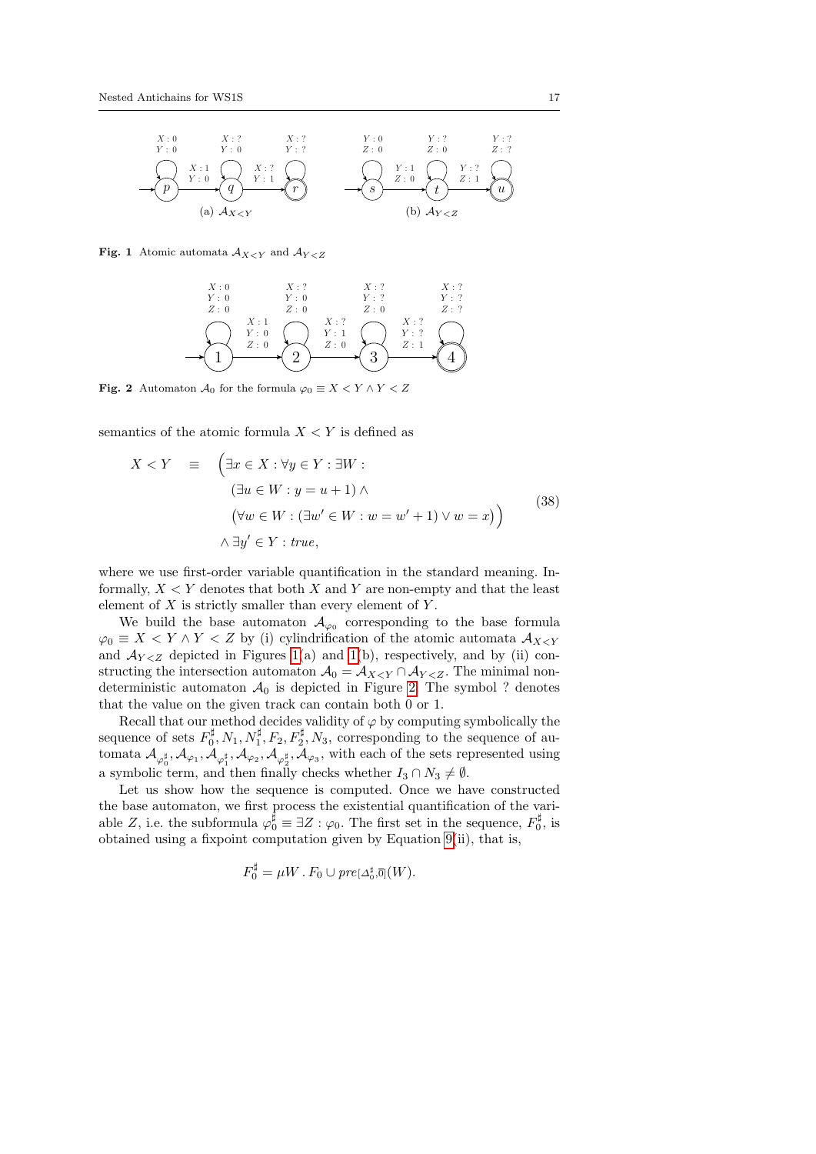

<span id="page-16-0"></span>**Fig. 1** Atomic automata  $A_{X\leq Y}$  and  $A_{Y\leq Z}$ 



<span id="page-16-1"></span>Fig. 2 Automaton  $\mathcal{A}_0$  for the formula  $\varphi_0 \equiv X < Y \wedge Y < Z$ 

semantics of the atomic formula  $X \leq Y$  is defined as

$$
X \lt Y \equiv \begin{pmatrix} \exists x \in X : \forall y \in Y : \exists W : \\ (\exists u \in W : y = u + 1) \land \\ (\forall w \in W : (\exists w' \in W : w = w' + 1) \lor w = x) \end{pmatrix}
$$
\n
$$
\land \exists y' \in Y : true,
$$
\n(38)

where we use first-order variable quantification in the standard meaning. Informally,  $X \leq Y$  denotes that both X and Y are non-empty and that the least element of  $X$  is strictly smaller than every element of  $Y$ .

We build the base automaton  $\mathcal{A}_{\varphi_0}$  corresponding to the base formula  $\varphi_0 \equiv X \langle Y \wedge Y \langle Z \rangle$  by (i) cylindrification of the atomic automata  $\mathcal{A}_{X \langle Y \rangle}$ and  $A_{Y depicted in Figures [1\(](#page-16-0)a) and 1(b), respectively, and by (ii) con$ structing the intersection automaton  $\mathcal{A}_0 = \mathcal{A}_{X\leq Y} \cap \mathcal{A}_{Y\leq Z}$ . The minimal nondeterministic automaton  $\mathcal{A}_0$  is depicted in Figure [2.](#page-16-1) The symbol ? denotes that the value on the given track can contain both 0 or 1.

Recall that our method decides validity of  $\varphi$  by computing symbolically the sequence of sets  $F_0^{\sharp}, N_1, N_1^{\sharp}, F_2, F_2^{\sharp}, N_3$ , corresponding to the sequence of automata  $\mathcal{A}_{\varphi_0^{\sharp}}, \mathcal{A}_{\varphi_1}, \mathcal{A}_{\varphi_2^{\sharp}}, \mathcal{A}_{\varphi_2}, \mathcal{A}_{\varphi_3}$ , with each of the sets represented using a symbolic term, and then finally checks whether  $I_3 \cap N_3 \neq \emptyset$ .

Let us show how the sequence is computed. Once we have constructed the base automaton, we first process the existential quantification of the variable Z, i.e. the subformula  $\varphi_0^{\sharp} \equiv \exists Z : \varphi_0$ . The first set in the sequence,  $F_0^{\sharp}$ , is obtained using a fixpoint computation given by Equation [9\(](#page-9-0)ii), that is,

$$
F_0^{\sharp} = \mu W \cdot F_0 \cup pre[\Delta_0^{\sharp}, \overline{0}](W).
$$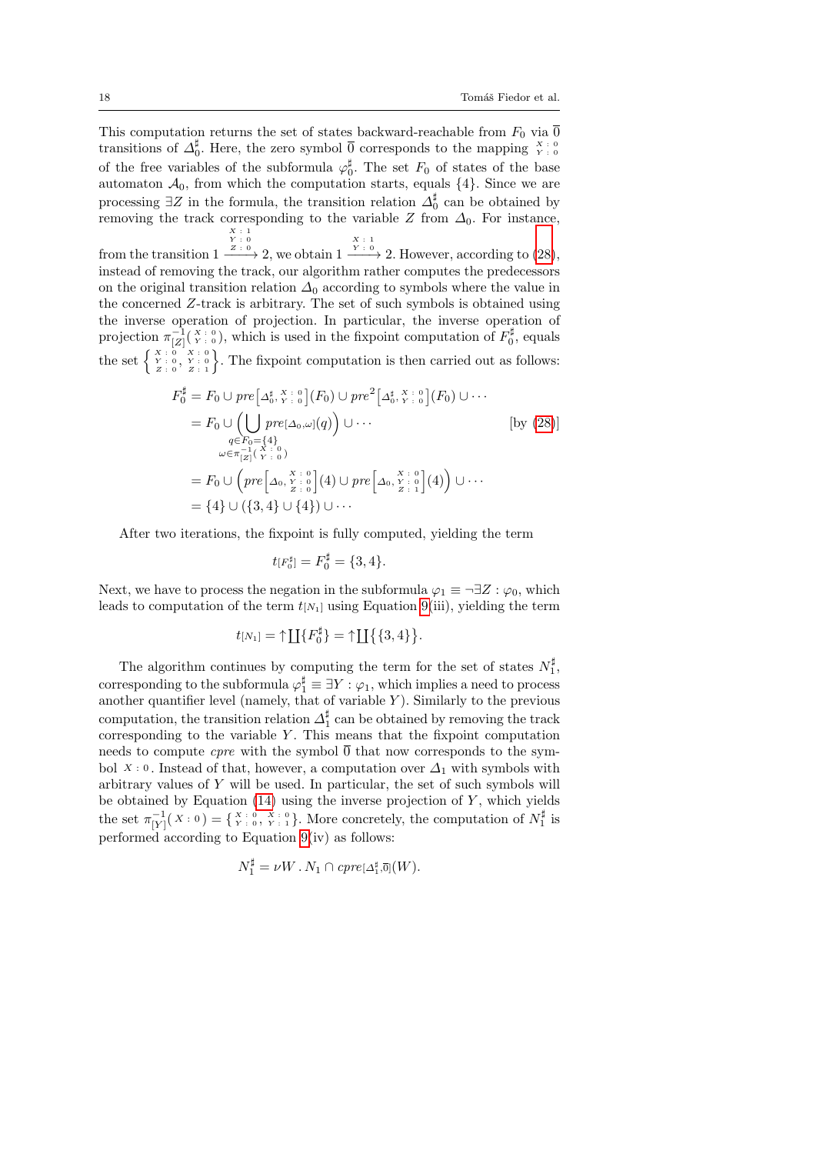This computation returns the set of states backward-reachable from  $F_0$  via  $\overline{0}$ transitions of  $\Delta_0^{\sharp}$ . Here, the zero symbol  $\overline{0}$  corresponds to the mapping  $\frac{X}{Y}$ : of the free variables of the subformula  $\varphi_0^{\sharp}$ . The set  $F_0$  of states of the base automaton  $\mathcal{A}_0$ , from which the computation starts, equals  $\{4\}$ . Since we are processing  $\exists Z$  in the formula, the transition relation  $\Delta_0^{\sharp}$  can be obtained by removing the track corresponding to the variable  $Z$  from  $\Delta_0$ . For instance,  $\overset{X : 1}{\longrightarrow}$   $\overset{Y : 0}{\longrightarrow}$  2, we obtain 1

from the transition 1  $\xrightarrow{X : 1}$ <br>2. However, according to [\(28\)](#page-13-2), instead of removing the track, our algorithm rather computes the predecessors on the original transition relation  $\Delta_0$  according to symbols where the value in the concerned Z-track is arbitrary. The set of such symbols is obtained using the inverse operation of projection. In particular, the inverse operation of projection  $\pi_{[Z]}^{-1}(\chi_{{}_{\succeq} 0}^{X \to 0})$ , which is used in the fixpoint computation of  $F_0^{\sharp}$ , equals the set  $\left\{\begin{array}{c} X : 0, X : 0 \\ Y : 0, Y : 0 \\ Z : 0, Z : 1 \end{array}\right\}$ . The fixpoint computation is then carried out as follows:

$$
F_0^{\sharp} = F_0 \cup pre\left[\Delta_0^{\sharp}, \frac{x}{y}; \frac{0}{0}\right](F_0) \cup pre^2\left[\Delta_0^{\sharp}, \frac{x}{y}; \frac{0}{0}\right](F_0) \cup \cdots
$$
  
\n
$$
= F_0 \cup \left(\bigcup_{q \in F_0 = \{4\}} pre[\Delta_0, \omega](q)\right) \cup \cdots
$$
  
\n
$$
\omega \in \pi_{[z]}^{-1}(\frac{x}{y}; \frac{0}{0})
$$
  
\n
$$
= F_0 \cup \left( pre\left[\Delta_0, \frac{x}{z}; \frac{0}{0}\right](4) \cup pre\left[\Delta_0, \frac{x}{z}; \frac{0}{1}\right](4) \right) \cup \cdots
$$
  
\n
$$
= \{4\} \cup (\{3, 4\} \cup \{4\}) \cup \cdots
$$

After two iterations, the fixpoint is fully computed, yielding the term

$$
t_F^{\sharp} = F_0^{\sharp} = \{3, 4\}.
$$

Next, we have to process the negation in the subformula  $\varphi_1 \equiv \neg \exists Z : \varphi_0$ , which leads to computation of the term  $t_{[N_1]}$  using Equation [9\(](#page-9-0)iii), yielding the term

$$
t[N_1] = \uparrow \coprod \{F_0^{\sharp}\} = \uparrow \coprod \{3, 4\}.
$$

The algorithm continues by computing the term for the set of states  $N_1^{\sharp}$ , corresponding to the subformula  $\varphi_1^{\sharp} \equiv \exists Y : \varphi_1$ , which implies a need to process another quantifier level (namely, that of variable  $Y$ ). Similarly to the previous computation, the transition relation  $\Delta_1^{\sharp}$  can be obtained by removing the track corresponding to the variable  $Y$ . This means that the fixpoint computation needs to compute *cpre* with the symbol  $\overline{0}$  that now corresponds to the symbol  $X : 0$ . Instead of that, however, a computation over  $\Delta_1$  with symbols with arbitrary values of Y will be used. In particular, the set of such symbols will be obtained by Equation  $(14)$  using the inverse projection of Y, which yields the set  $\pi^{-1}_{[Y]}(X:0) = \{ \begin{matrix} X: 0, X: 0 \\ Y: 0, Y: 1 \end{matrix} \}$ . More concretely, the computation of  $N_1^{\sharp}$  is performed according to Equation [9\(](#page-9-0)iv) as follows:

$$
N_1^{\sharp} = \nu W \cdot N_1 \cap \text{cpre}[\Delta_1^{\sharp}, \overline{\mathfrak{0}}](W).
$$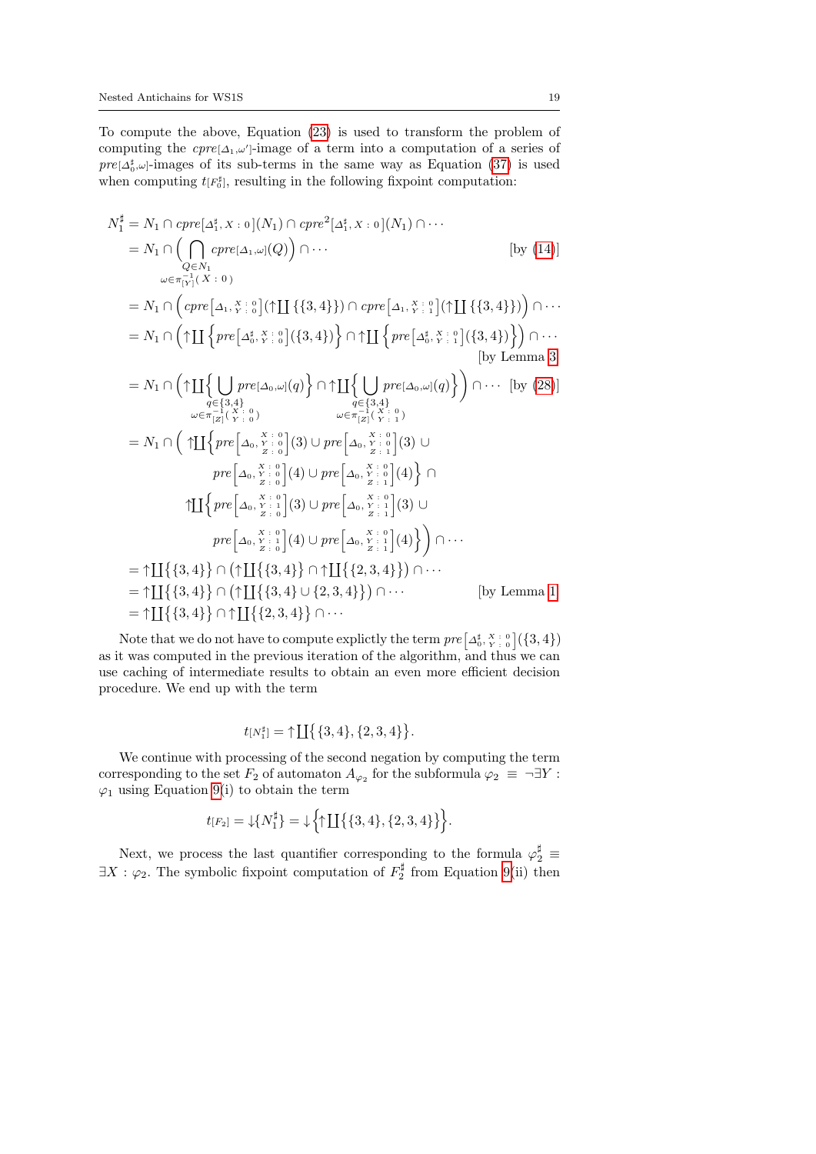To compute the above, Equation [\(23\)](#page-12-2) is used to transform the problem of computing the  $cpre[\Delta_1,\omega']$ -image of a term into a computation of a series of  $pre[\Delta_0^{\sharp},\omega]$ -images of its sub-terms in the same way as Equation [\(37\)](#page-14-1) is used when computing  $t[F_0^{\sharp}]$ , resulting in the following fixpoint computation:

$$
N_1^{\sharp} = N_1 \cap \text{cpre}[\Delta_1^{\sharp}, X: 0](N_1) \cap \text{cpre}^2[\Delta_1^{\sharp}, X: 0](N_1) \cap \cdots
$$
\n
$$
= N_1 \cap \left(\bigcap_{Q \in N_1} \text{cpre}[\Delta_1, \omega](Q)\right) \cap \cdots
$$
\n
$$
= N_1 \cap \left(\bigcap_{Q \in N_1} \text{cpre}[\Delta_1, \chi^{\sharp} : \mathcal{C}](\dagger \coprod \{\{3, 4\}\}) \cap \text{cpre}[\Delta_1, \chi^{\sharp} : \mathcal{C}](\dagger \coprod \{\{3, 4\}\})\right) \cap \cdots
$$
\n
$$
= N_1 \cap \left(\uparrow \coprod \left\{ \text{pre}[\Delta_0^{\sharp}, \chi^{\sharp} : \mathcal{C}](\{3, 4\}\}) \right\} \cap \uparrow \coprod \left\{ \text{pre}[\Delta_0^{\sharp}, \chi^{\sharp} : \mathcal{C}](\{3, 4\}\}) \right\} \cap \cdots
$$
\n
$$
= N_1 \cap \left(\uparrow \coprod \left\{ \text{pre}[\Delta_0, \omega](q) \right\} \cap \uparrow \coprod \left\{ \text{pre}[\Delta_0, \omega](q) \right\} \cap \cdots
$$
\n
$$
= N_1 \cap \left(\uparrow \coprod \left\{ \text{pre}[\Delta_0, \chi^{\sharp} : \mathcal{C}](\dagger) \right\} \cap \uparrow \coprod \left\{ \text{pre}[\Delta_0, \chi^{\sharp} : \mathcal{C}](\dagger) \right\} \cap \cdots
$$
\n
$$
= N_1 \cap \left(\uparrow \coprod \left\{ \text{pre}[\Delta_0, \chi^{\sharp} : \mathcal{C}](\dagger) \right\} \cap \text{pre}[\Delta_0, \chi^{\sharp} : \mathcal{C}](\dagger) \right\} \cap \cdots
$$
\n
$$
= N_1 \cap \left(\uparrow \coprod \left\{ \text{pre}[\Delta_0, \chi^{\sharp} : \mathcal{C}](\dagger) \cup \text{pre}[\Delta_0, \chi^{\sharp} : \mathcal{C}](\dagger) \right\} \cap \cdots
$$
\n $$ 

Note that we do not have to compute explictly the term  $pre[\Delta_0^{\sharp}, \frac{x}{Y} : 0 \mid (\{3, 4\})$ as it was computed in the previous iteration of the algorithm, and thus we can use caching of intermediate results to obtain an even more efficient decision procedure. We end up with the term

$$
t[N_1^{\sharp}] = \uparrow \coprod \big\{ \{3,4\}, \{2,3,4\} \big\}.
$$

We continue with processing of the second negation by computing the term corresponding to the set  $F_2$  of automaton  $A_{\varphi_2}$  for the subformula  $\varphi_2 \equiv \neg \exists Y$ :  $\varphi_1$  using Equation [9\(](#page-9-0)i) to obtain the term

$$
t_{[F_2]} = \downarrow \{N_1^{\sharp}\} = \downarrow \left\{\uparrow \coprod \{3,4\}, \{2,3,4\}\right\}.
$$

Next, we process the last quantifier corresponding to the formula  $\varphi_2^{\sharp} \equiv$  $\exists X : \varphi_2$ . The symbolic fixpoint computation of  $F_2^{\sharp}$  from Equation [9\(](#page-9-0)ii) then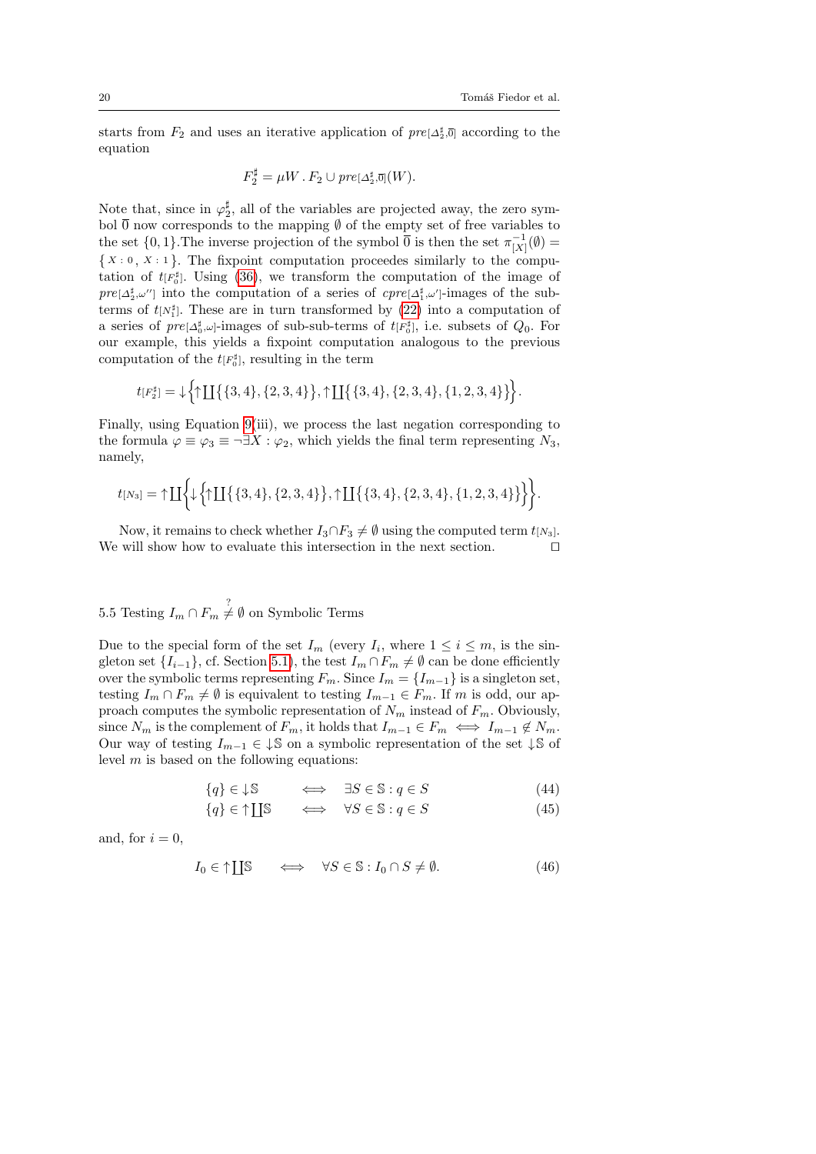starts from  $F_2$  and uses an iterative application of  $pre[\Delta_2^{\sharp}, \overline{0}]$  according to the equation

$$
F_2^{\sharp} = \mu W \cdot F_2 \cup pre[\Delta_2^{\sharp}, \overline{0}](W).
$$

Note that, since in  $\varphi_2^{\sharp}$ , all of the variables are projected away, the zero symbol  $\overline{0}$  now corresponds to the mapping  $\emptyset$  of the empty set of free variables to the set  $\{0,1\}$ . The inverse projection of the symbol  $\overline{0}$  is then the set  $\pi^{-1}_{[X]}(\emptyset)$  =  $\{X: 0, X: 1\}$ . The fixpoint computation proceedes similarly to the computation of  $t_F^{\sharp}$ . Using [\(36\)](#page-14-0), we transform the computation of the image of  $pre[\Delta_2^{\sharp}, \omega']$  into the computation of a series of  $cpre[\Delta_1^{\sharp}, \omega']$ -images of the subterms of  $t[N_1^{\sharp}]$ . These are in turn transformed by [\(22\)](#page-12-1) into a computation of a series of  $pre[\Delta_0^{\sharp}, \omega]$ -images of sub-sub-terms of  $t[F_0^{\sharp}]$ , i.e. subsets of  $Q_0$ . For our example, this yields a fixpoint computation analogous to the previous computation of the  $t[F_0^{\sharp}]$ , resulting in the term

$$
t[F_2^{\sharp}] = \bigcup \Big\{ \uparrow \coprod \big\{ \{3,4\}, \{2,3,4\} \big\}, \uparrow \coprod \big\{ \{3,4\}, \{2,3,4\}, \{1,2,3,4\} \big\} \Big\}.
$$

Finally, using Equation [9\(](#page-9-0)iii), we process the last negation corresponding to the formula  $\varphi \equiv \varphi_3 \equiv \neg \exists X : \varphi_2$ , which yields the final term representing  $N_3$ , namely,

$$
t[N_3] = \uparrow \coprod \Biggl\{ \downarrow \Biggl\{ \uparrow \coprod \biggl\{ \{3,4\}, \{2,3,4\} \biggr\}, \uparrow \coprod \biggl\{ \{3,4\}, \{2,3,4\}, \{1,2,3,4\} \biggr\} \Biggr\}.
$$

Now, it remains to check whether  $I_3 \cap F_3 \neq \emptyset$  using the computed term  $t[N_3]$ . We will show how to evaluate this intersection in the next section.  $\Box$ 

<span id="page-19-0"></span>5.5 Testing  $I_m \cap F_m \stackrel{?}{\neq} \emptyset$  on Symbolic Terms

Due to the special form of the set  $I_m$  (every  $I_i$ , where  $1 \leq i \leq m$ , is the singleton set  $\{I_{i-1}\}\$ , cf. Section [5.1\)](#page-9-1), the test  $I_m \cap F_m \neq \emptyset$  can be done efficiently over the symbolic terms representing  $F_m$ . Since  $I_m = \{I_{m-1}\}\$ is a singleton set, testing  $I_m \cap F_m \neq \emptyset$  is equivalent to testing  $I_{m-1} \in F_m$ . If m is odd, our approach computes the symbolic representation of  $N_m$  instead of  $F_m$ . Obviously, since  $N_m$  is the complement of  $F_m$ , it holds that  $I_{m-1} \in F_m \iff I_{m-1} \notin N_m$ . Our way of testing  $I_{m-1} \in \downarrow \mathbb{S}$  on a symbolic representation of the set  $\downarrow \mathbb{S}$  of level  $m$  is based on the following equations:

<span id="page-19-2"></span><span id="page-19-1"></span>
$$
\{q\} \in \downarrow \mathbb{S} \qquad \iff \quad \exists S \in \mathbb{S} : q \in S \tag{44}
$$

<span id="page-19-3"></span>
$$
\{q\} \in \uparrow \coprod \mathbb{S} \qquad \Longleftrightarrow \quad \forall S \in \mathbb{S} : q \in S \tag{45}
$$

and, for  $i = 0$ ,

$$
I_0 \in \uparrow \coprod \mathbb{S} \qquad \Longleftrightarrow \quad \forall S \in \mathbb{S} : I_0 \cap S \neq \emptyset. \tag{46}
$$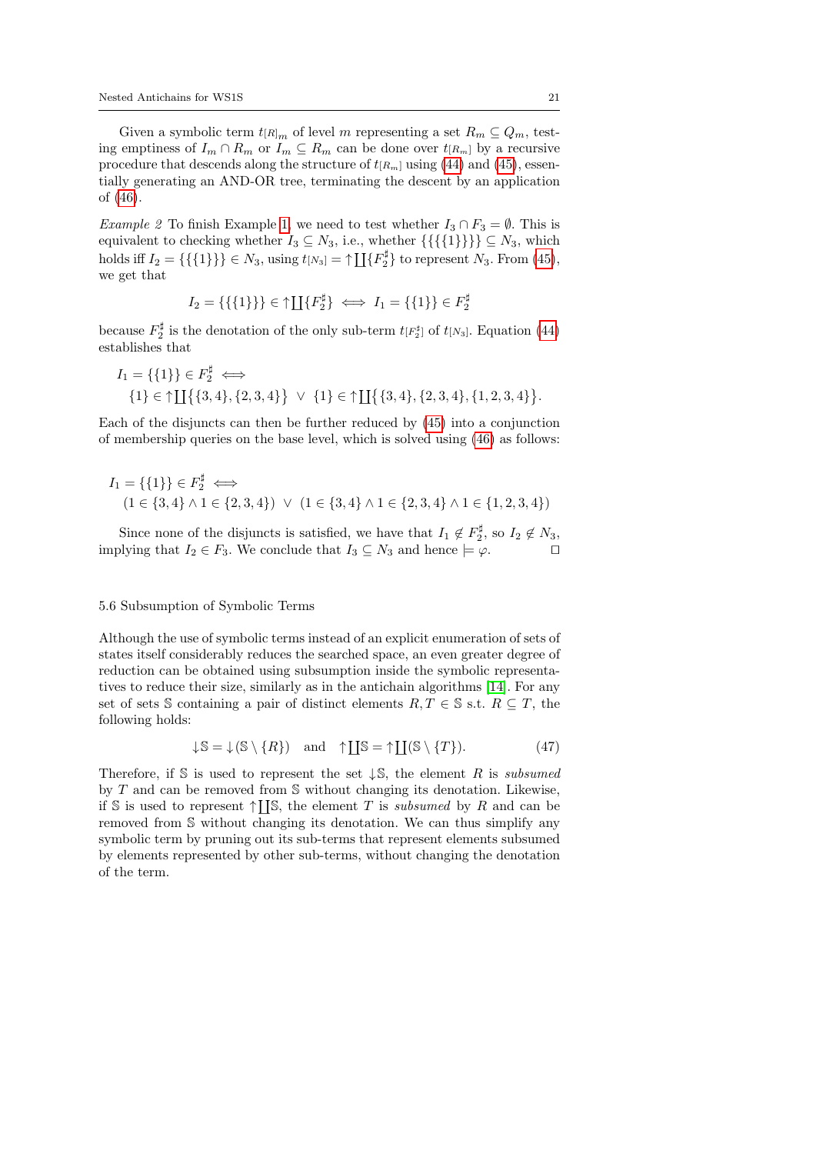Given a symbolic term  $t_{[R]_m}$  of level m representing a set  $R_m \subseteq Q_m$ , testing emptiness of  $I_m \cap R_m$  or  $I_m \subseteq R_m$  can be done over  $t_{[R_m]}$  by a recursive procedure that descends along the structure of  $t_{[R_m]}$  using [\(44\)](#page-19-1) and [\(45\)](#page-19-2), essentially generating an AND-OR tree, terminating the descent by an application of [\(46\)](#page-19-3).

*Example 2* To finish Example [1,](#page-15-1) we need to test whether  $I_3 \cap F_3 = \emptyset$ . This is equivalent to checking whether  $I_3 \subseteq N_3$ , i.e., whether  $\{\{\{\{1\}\}\}\}\subseteq N_3$ , which holds iff  $I_2 = \{\{\{1\}\}\}\in N_3$ , using  $t_{[N_3]} = \uparrow \coprod \{F_2^{\sharp}\}\$  to represent  $N_3$ . From [\(45\)](#page-19-2), we get that

$$
I_2 = \{ \{ \{1\} \} \} \in \uparrow \coprod \{ F_2^{\sharp} \} \iff I_1 = \{ \{1\} \} \in F_2^{\sharp}
$$

because  $F_2^{\sharp}$  is the denotation of the only sub-term  $t_F^{\sharp}$  of  $t_N$ . Equation [\(44\)](#page-19-1) establishes that

$$
I_1 = \{\{1\}\} \in F_2^{\sharp} \iff \{1\} \in \uparrow \coprod \{\{3,4\}, \{2,3,4\}\} \lor \{1\} \in \uparrow \coprod \{\{3,4\}, \{2,3,4\}, \{1,2,3,4\}\}.
$$

Each of the disjuncts can then be further reduced by [\(45\)](#page-19-2) into a conjunction of membership queries on the base level, which is solved using [\(46\)](#page-19-3) as follows:

$$
I_1 = \{\{1\}\} \in F_2^{\sharp} \iff
$$
  
(1 \in \{3, 4\} \land 1 \in \{2, 3, 4\}) \lor (1 \in \{3, 4\} \land 1 \in \{2, 3, 4\} \land 1 \in \{1, 2, 3, 4\})

Since none of the disjuncts is satisfied, we have that  $I_1 \notin F_2^{\sharp}$ , so  $I_2 \notin N_3$ , implying that  $I_2 \in F_3$ . We conclude that  $I_3 \subseteq N_3$  and hence  $\models \varphi$ .

### <span id="page-20-0"></span>5.6 Subsumption of Symbolic Terms

Although the use of symbolic terms instead of an explicit enumeration of sets of states itself considerably reduces the searched space, an even greater degree of reduction can be obtained using subsumption inside the symbolic representatives to reduce their size, similarly as in the antichain algorithms [\[14\]](#page-26-11). For any set of sets S containing a pair of distinct elements  $R, T \in \mathbb{S}$  s.t.  $R \subseteq T$ , the following holds:

<span id="page-20-1"></span>
$$
\downarrow \mathbb{S} = \downarrow (\mathbb{S} \setminus \{R\}) \quad \text{and} \quad \uparrow \coprod \mathbb{S} = \uparrow \coprod (\mathbb{S} \setminus \{T\}). \tag{47}
$$

Therefore, if S is used to represent the set  $\downarrow$ S, the element R is *subsumed* by  $T$  and can be removed from  $\mathbb S$  without changing its denotation. Likewise, if S is used to represent  $\uparrow$  [S, the element T is *subsumed* by R and can be removed from S without changing its denotation. We can thus simplify any symbolic term by pruning out its sub-terms that represent elements subsumed by elements represented by other sub-terms, without changing the denotation of the term.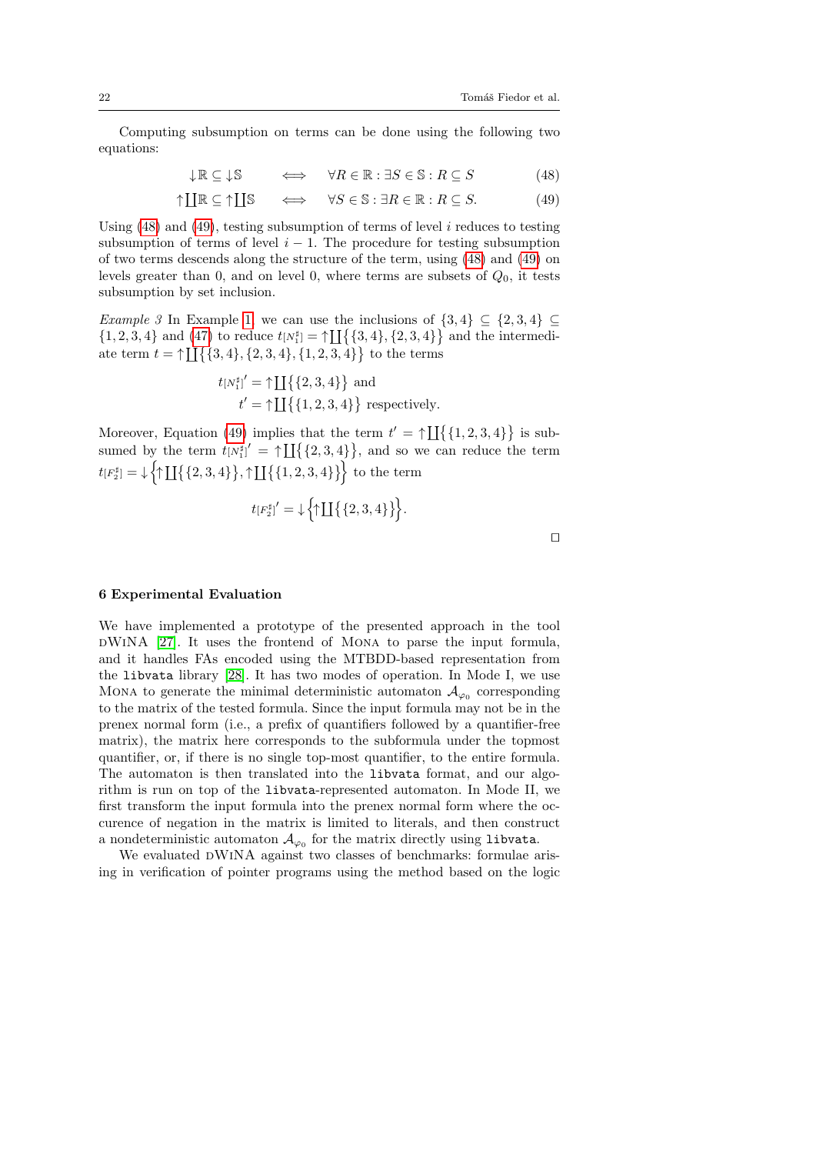$\Box$ 

Computing subsumption on terms can be done using the following two equations:

<span id="page-21-2"></span><span id="page-21-1"></span>
$$
\downarrow \mathbb{R} \subseteq \downarrow \mathbb{S} \qquad \Longleftrightarrow \qquad \forall R \in \mathbb{R} : \exists S \in \mathbb{S} : R \subseteq S \tag{48}
$$

$$
\uparrow \coprod \mathbb{R} \subseteq \uparrow \coprod \mathbb{S} \qquad \Longleftrightarrow \qquad \forall S \in \mathbb{S} : \exists R \in \mathbb{R} : R \subseteq S. \tag{49}
$$

Using  $(48)$  and  $(49)$ , testing subsumption of terms of level i reduces to testing subsumption of terms of level  $i - 1$ . The procedure for testing subsumption of two terms descends along the structure of the term, using [\(48\)](#page-21-1) and [\(49\)](#page-21-2) on levels greater than 0, and on level 0, where terms are subsets of  $Q_0$ , it tests subsumption by set inclusion.

Example 3 In Example [1,](#page-15-1) we can use the inclusions of  $\{3,4\} \subseteq \{2,3,4\} \subseteq$  $\{1, 2, 3, 4\}$  and  $(47)$  to reduce  $t[N_1^{\sharp}] = \uparrow \coprod \{3, 4\}, \{2, 3, 4\} \}$  and the intermediate term  $t = \uparrow \coprod \{ \{3, 4\}, \{2, 3, 4\}, \{1, 2, 3, 4\} \}$  to the terms

$$
t[N_1^{\sharp}]' = \uparrow \coprod \{2, 3, 4\} \text{ and}
$$

$$
t' = \uparrow \coprod \{1, 2, 3, 4\} \text{ respectively.}
$$

Moreover, Equation [\(49\)](#page-21-2) implies that the term  $t' = \uparrow \prod_{i=1}^{\infty} \{1, 2, 3, 4\}$  is subsumed by the term  $t[N_1^{\sharp}]' = \uparrow \coprod \{2,3,4\}$ , and so we can reduce the term  $t[F_2^{\sharp}] = \downarrow \left\{ \uparrow \coprod \bigl\{ \{2,3,4\} \bigr\}, \uparrow \coprod \bigl\{ \{1,2,3,4\} \bigr\} \right\}$  to the term

$$
t[F_2^{\sharp}]' = \downarrow \Big\{\uparrow \coprod \big\{\{2,3,4\} \big\} \Big\}.
$$

### <span id="page-21-0"></span>6 Experimental Evaluation

We have implemented a prototype of the presented approach in the tool dWiNA [\[27\]](#page-27-2). It uses the frontend of Mona to parse the input formula, and it handles FAs encoded using the MTBDD-based representation from the libvata library [\[28\]](#page-27-3). It has two modes of operation. In Mode I, we use Mona to generate the minimal deterministic automaton  $\mathcal{A}_{\varphi_0}$  corresponding to the matrix of the tested formula. Since the input formula may not be in the prenex normal form (i.e., a prefix of quantifiers followed by a quantifier-free matrix), the matrix here corresponds to the subformula under the topmost quantifier, or, if there is no single top-most quantifier, to the entire formula. The automaton is then translated into the libvata format, and our algorithm is run on top of the libvata-represented automaton. In Mode II, we first transform the input formula into the prenex normal form where the occurence of negation in the matrix is limited to literals, and then construct a nondeterministic automaton  $\mathcal{A}_{\varphi_0}$  for the matrix directly using libvata.

We evaluated DWINA against two classes of benchmarks: formulae arising in verification of pointer programs using the method based on the logic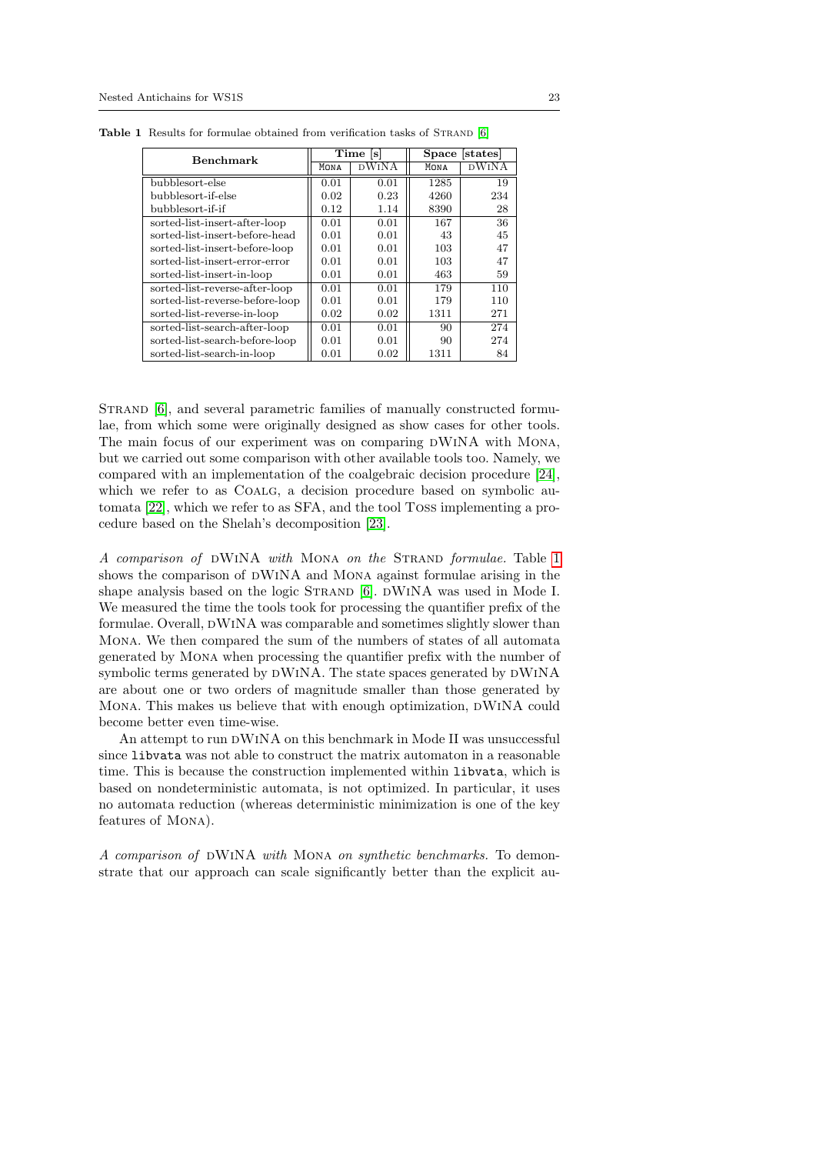<span id="page-22-0"></span>

| Benchmark                       | Time $ s $ |       | Space [states] |              |
|---------------------------------|------------|-------|----------------|--------------|
|                                 | MONA       | DWINA | MONA           | <b>DWINA</b> |
| bubblesort-else                 | 0.01       | 0.01  | 1285           | 19           |
| bubblesort-if-else              | 0.02       | 0.23  | 4260           | 234          |
| bubblesort-if-if                | 0.12       | 1.14  | 8390           | 28           |
| sorted-list-insert-after-loop   | 0.01       | 0.01  | 167            | 36           |
| sorted-list-insert-before-head  | 0.01       | 0.01  | 43             | 45           |
| sorted-list-insert-before-loop  | 0.01       | 0.01  | 103            | 47           |
| sorted-list-insert-error-error  | 0.01       | 0.01  | 103            | 47           |
| sorted-list-insert-in-loop      | 0.01       | 0.01  | 463            | 59           |
| sorted-list-reverse-after-loop  | 0.01       | 0.01  | 179            | 110          |
| sorted-list-reverse-before-loop | 0.01       | 0.01  | 179            | 110          |
| sorted-list-reverse-in-loop     | 0.02       | 0.02  | 1311           | 271          |
| sorted-list-search-after-loop   | 0.01       | 0.01  | 90             | 274          |
| sorted-list-search-before-loop  | 0.01       | 0.01  | 90             | 274          |
| sorted-list-search-in-loop      | 0.01       | 0.02  | 1311           | 84           |

Table 1 Results for formulae obtained from verification tasks of STRAND [\[6\]](#page-26-3)

STRAND [\[6\]](#page-26-3), and several parametric families of manually constructed formulae, from which some were originally designed as show cases for other tools. The main focus of our experiment was on comparing DWINA with MONA, but we carried out some comparison with other available tools too. Namely, we compared with an implementation of the coalgebraic decision procedure [\[24\]](#page-26-21), which we refer to as COALG, a decision procedure based on symbolic automata [\[22\]](#page-26-19), which we refer to as SFA, and the tool Toss implementing a procedure based on the Shelah's decomposition [\[23\]](#page-26-20).

A comparison of DWINA with MONA on the STRAND formulae. Table [1](#page-22-0) shows the comparison of DWINA and MONA against formulae arising in the shape analysis based on the logic STRAND [\[6\]](#page-26-3). DWINA was used in Mode I. We measured the time the tools took for processing the quantifier prefix of the formulae. Overall, DWINA was comparable and sometimes slightly slower than Mona. We then compared the sum of the numbers of states of all automata generated by Mona when processing the quantifier prefix with the number of symbolic terms generated by  $\overline{\text{DWiNA}}$ . The state spaces generated by  $\overline{\text{DWiNA}}$ are about one or two orders of magnitude smaller than those generated by Mona. This makes us believe that with enough optimization, dWiNA could become better even time-wise.

An attempt to run DWINA on this benchmark in Mode II was unsuccessful since libvata was not able to construct the matrix automaton in a reasonable time. This is because the construction implemented within libvata, which is based on nondeterministic automata, is not optimized. In particular, it uses no automata reduction (whereas deterministic minimization is one of the key features of Mona).

A comparison of DWINA with MONA on synthetic benchmarks. To demonstrate that our approach can scale significantly better than the explicit au-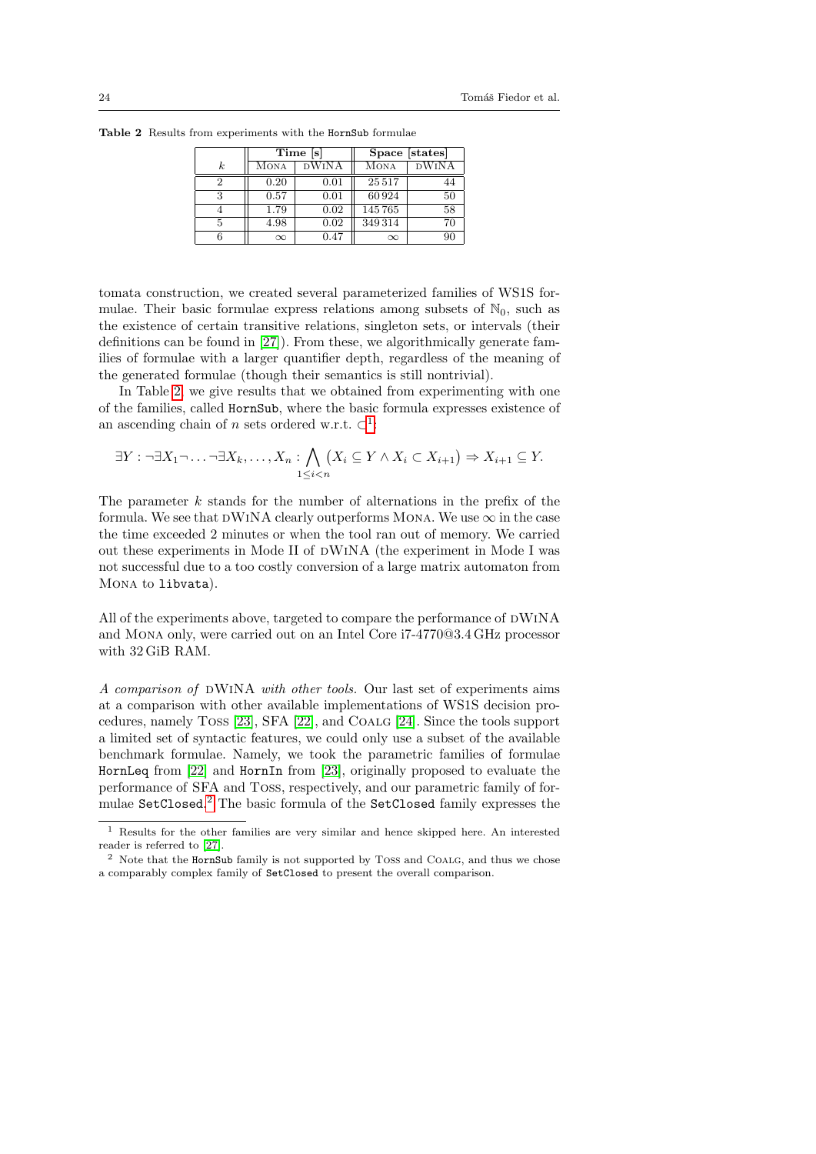|                  | Time [s] |              | Space [states] |              |  |
|------------------|----------|--------------|----------------|--------------|--|
| $\boldsymbol{k}$ | MONA     | <b>DWINA</b> | MONA           | <b>DWINA</b> |  |
| 2                | 0.20     | 0.01         | 25517          | 44           |  |
| 3                | 0.57     | 0.01         | 60924          | 50           |  |
|                  | 1.79     | 0.02         | 145765         | 58           |  |
| 5                | 4.98     | 0.02         | 349314         | 70           |  |
|                  | $\infty$ | 0.47         | $\infty$       | 90           |  |

<span id="page-23-0"></span>Table 2 Results from experiments with the HornSub formulae

tomata construction, we created several parameterized families of WS1S formulae. Their basic formulae express relations among subsets of  $\mathbb{N}_0$ , such as the existence of certain transitive relations, singleton sets, or intervals (their definitions can be found in [\[27\]](#page-27-2)). From these, we algorithmically generate families of formulae with a larger quantifier depth, regardless of the meaning of the generated formulae (though their semantics is still nontrivial).

In Table [2,](#page-23-0) we give results that we obtained from experimenting with one of the families, called HornSub, where the basic formula expresses existence of an ascending chain of n sets ordered w.r.t.  $\subset^1$  $\subset^1$ :

$$
\exists Y : \neg \exists X_1 \neg \dots \neg \exists X_k, \dots, X_n : \bigwedge_{1 \leq i < n} (X_i \subseteq Y \land X_i \subset X_{i+1}) \Rightarrow X_{i+1} \subseteq Y.
$$

The parameter  $k$  stands for the number of alternations in the prefix of the formula. We see that DWINA clearly outperforms MONA. We use  $\infty$  in the case the time exceeded 2 minutes or when the tool ran out of memory. We carried out these experiments in Mode II of DWINA (the experiment in Mode I was not successful due to a too costly conversion of a large matrix automaton from MONA to libvata).

All of the experiments above, targeted to compare the performance of  $\text{DWINA}$ and Mona only, were carried out on an Intel Core i7-4770@3.4 GHz processor with 32 GiB RAM.

A comparison of DWINA with other tools. Our last set of experiments aims at a comparison with other available implementations of WS1S decision procedures, namely Toss [\[23\]](#page-26-20), SFA [\[22\]](#page-26-19), and Coalg [\[24\]](#page-26-21). Since the tools support a limited set of syntactic features, we could only use a subset of the available benchmark formulae. Namely, we took the parametric families of formulae HornLeq from [\[22\]](#page-26-19) and HornIn from [\[23\]](#page-26-20), originally proposed to evaluate the performance of SFA and Toss, respectively, and our parametric family of formulae SetClosed. [2](#page-23-2) The basic formula of the SetClosed family expresses the

<span id="page-23-1"></span><sup>1</sup> Results for the other families are very similar and hence skipped here. An interested reader is referred to [\[27\]](#page-27-2).

<span id="page-23-2"></span><sup>2</sup> Note that the HornSub family is not supported by Toss and Coalg, and thus we chose a comparably complex family of SetClosed to present the overall comparison.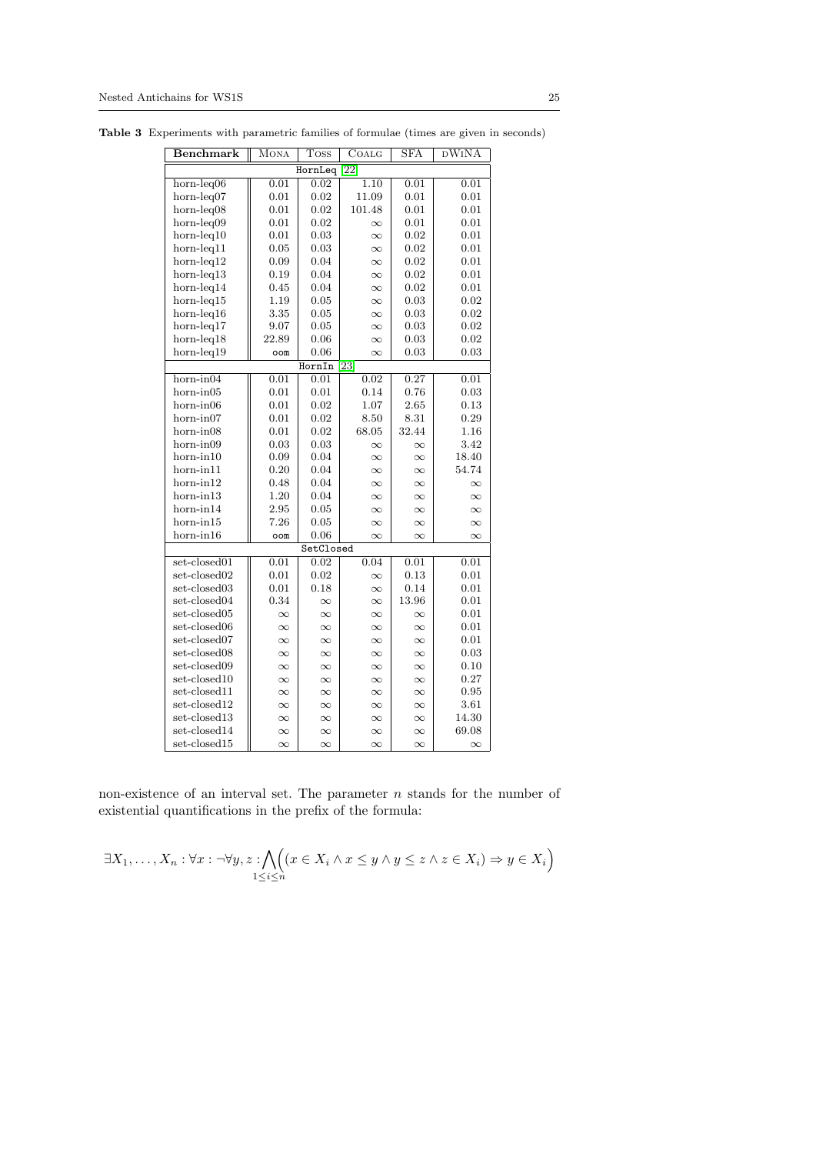<span id="page-24-0"></span>

| <b>Benchmark</b>             | MONA     | Toss      | COALG           | <b>SFA</b> | <b>DWINA</b> |  |  |  |
|------------------------------|----------|-----------|-----------------|------------|--------------|--|--|--|
|                              |          | HornLeq   | $\overline{22}$ |            |              |  |  |  |
| horn-leq06                   | 0.01     | 0.02      | 1.10            | 0.01       | 0.01         |  |  |  |
| horn-leq07                   | 0.01     | 0.02      | 11.09           | 0.01       | 0.01         |  |  |  |
| horn-leq08                   | 0.01     | 0.02      | 101.48          | 0.01       | 0.01         |  |  |  |
| horn-leq09                   | 0.01     | 0.02      | $\infty$        | 0.01       | 0.01         |  |  |  |
| $horn$ - $leq10$             | 0.01     | 0.03      | $\infty$        | 0.02       | 0.01         |  |  |  |
| horn-leq11                   | 0.05     | 0.03      | $\infty$        | 0.02       | 0.01         |  |  |  |
| $horn$ - $leq12$             | 0.09     | 0.04      | $\infty$        | 0.02       | 0.01         |  |  |  |
| $horn$ -leq $13$             | 0.19     | 0.04      | $\infty$        | 0.02       | 0.01         |  |  |  |
| $horn$ - $leq$ <sup>14</sup> | 0.45     | 0.04      | $\infty$        | 0.02       | 0.01         |  |  |  |
| $horn$ -leq $15$             | 1.19     | 0.05      | $\infty$        | 0.03       | 0.02         |  |  |  |
| horn-leq16                   | 3.35     | 0.05      | $\infty$        | 0.03       | 0.02         |  |  |  |
| $horn$ - $leq$ 17            | 9.07     | 0.05      | $\infty$        | 0.03       | 0.02         |  |  |  |
| horn-leq18                   | 22.89    | 0.06      | $\infty$        | 0.03       | 0.02         |  |  |  |
| horn-leq19                   | oom      | 0.06      | $\infty$        | 0.03       | 0.03         |  |  |  |
| $\overline{23}$<br>HornIn    |          |           |                 |            |              |  |  |  |
| horn-in04                    | 0.01     | 0.01      | 0.02            | 0.27       | 0.01         |  |  |  |
| $horn-in05$                  | 0.01     | 0.01      | 0.14            | 0.76       | 0.03         |  |  |  |
| horn-in06                    | 0.01     | 0.02      | 1.07            | 2.65       | 0.13         |  |  |  |
| $horn-in07$                  | 0.01     | 0.02      | 8.50            | 8.31       | 0.29         |  |  |  |
| $horn-in08$                  | 0.01     | 0.02      | 68.05           | 32.44      | 1.16         |  |  |  |
| $horn-in09$                  | 0.03     | 0.03      | $\infty$        | $\infty$   | 3.42         |  |  |  |
| $horn-in10$                  | 0.09     | 0.04      | $\infty$        | $\infty$   | 18.40        |  |  |  |
| $horn-in11$                  | 0.20     | 0.04      | $\infty$        | $\infty$   | 54.74        |  |  |  |
| $horn-in12$                  | 0.48     | 0.04      | $\infty$        | $\infty$   | $\infty$     |  |  |  |
| horn-in13                    | 1.20     | 0.04      | $\infty$        | $\infty$   | $\infty$     |  |  |  |
| $horn-in14$                  | 2.95     | 0.05      | $\infty$        | $\infty$   | $\infty$     |  |  |  |
| $horn-in15$                  | 7.26     | 0.05      | $\infty$        | $\infty$   | $\infty$     |  |  |  |
| horn-in16                    | oom      | 0.06      | $\infty$        | $\infty$   | $\infty$     |  |  |  |
|                              |          | SetClosed |                 |            |              |  |  |  |
| set-closed01                 | 0.01     | 0.02      | 0.04            | 0.01       | 0.01         |  |  |  |
| set-closed02                 | 0.01     | 0.02      | $\infty$        | 0.13       | 0.01         |  |  |  |
| set-closed03                 | 0.01     | 0.18      | $\infty$        | 0.14       | 0.01         |  |  |  |
| set-closed04                 | 0.34     | $\infty$  | $\infty$        | 13.96      | 0.01         |  |  |  |
| set-closed05                 | $\infty$ | $\infty$  | $\infty$        | $\infty$   | 0.01         |  |  |  |
| set-closed06                 | $\infty$ | $\infty$  | $\infty$        | $\infty$   | 0.01         |  |  |  |
| set-closed07                 | $\infty$ | $\infty$  | $\infty$        | $\infty$   | 0.01         |  |  |  |
| set-closed08                 | $\infty$ | $\infty$  | $\infty$        | $\infty$   | 0.03         |  |  |  |
| set-closed09                 | $\infty$ | $\infty$  | $\infty$        | $\infty$   | 0.10         |  |  |  |
| set-closed10                 | $\infty$ | $\infty$  | $\infty$        | $\infty$   | 0.27         |  |  |  |
| set-closed11                 | $\infty$ | $\infty$  | $\infty$        | $\infty$   | 0.95         |  |  |  |
| set-closed12                 | $\infty$ | $\infty$  | $\infty$        | $\infty$   | 3.61         |  |  |  |
| set-closed13                 | $\infty$ | $\infty$  | $\infty$        | $\infty$   | 14.30        |  |  |  |
| set-closed14                 | $\infty$ | $\infty$  | $\infty$        | $\infty$   | 69.08        |  |  |  |
| $set$ - $closed15$           | $\infty$ | $\infty$  | $\infty$        | $\infty$   | $\infty$     |  |  |  |

Table 3 Experiments with parametric families of formulae (times are given in seconds)

non-existence of an interval set. The parameter  $n$  stands for the number of existential quantifications in the prefix of the formula:

$$
\exists X_1, \dots, X_n : \forall x : \neg \forall y, z : \bigwedge_{1 \leq i \leq n} (x \in X_i \land x \leq y \land y \leq z \land z \in X_i) \Rightarrow y \in X_i)
$$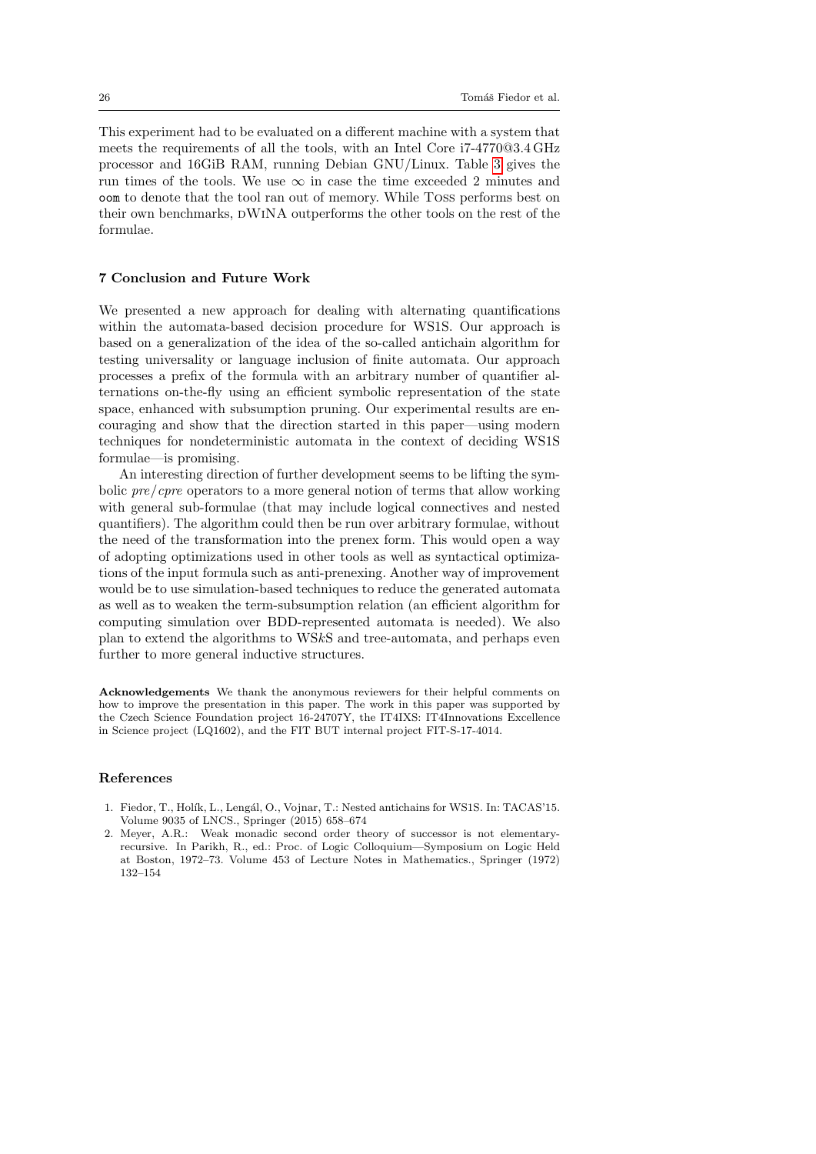This experiment had to be evaluated on a different machine with a system that meets the requirements of all the tools, with an Intel Core i7-4770@3.4 GHz processor and 16GiB RAM, running Debian GNU/Linux. Table [3](#page-24-0) gives the run times of the tools. We use  $\infty$  in case the time exceeded 2 minutes and oom to denote that the tool ran out of memory. While Toss performs best on their own benchmarks, dWiNA outperforms the other tools on the rest of the formulae.

## <span id="page-25-2"></span>7 Conclusion and Future Work

We presented a new approach for dealing with alternating quantifications within the automata-based decision procedure for WS1S. Our approach is based on a generalization of the idea of the so-called antichain algorithm for testing universality or language inclusion of finite automata. Our approach processes a prefix of the formula with an arbitrary number of quantifier alternations on-the-fly using an efficient symbolic representation of the state space, enhanced with subsumption pruning. Our experimental results are encouraging and show that the direction started in this paper—using modern techniques for nondeterministic automata in the context of deciding WS1S formulae—is promising.

An interesting direction of further development seems to be lifting the symbolic pre/cpre operators to a more general notion of terms that allow working with general sub-formulae (that may include logical connectives and nested quantifiers). The algorithm could then be run over arbitrary formulae, without the need of the transformation into the prenex form. This would open a way of adopting optimizations used in other tools as well as syntactical optimizations of the input formula such as anti-prenexing. Another way of improvement would be to use simulation-based techniques to reduce the generated automata as well as to weaken the term-subsumption relation (an efficient algorithm for computing simulation over BDD-represented automata is needed). We also plan to extend the algorithms to WSkS and tree-automata, and perhaps even further to more general inductive structures.

Acknowledgements We thank the anonymous reviewers for their helpful comments on how to improve the presentation in this paper. The work in this paper was supported by the Czech Science Foundation project 16-24707Y, the IT4IXS: IT4Innovations Excellence in Science project (LQ1602), and the FIT BUT internal project FIT-S-17-4014.

#### References

- <span id="page-25-0"></span>1. Fiedor, T., Holík, L., Lengál, O., Vojnar, T.: Nested antichains for WS1S. In: TACAS'15. Volume 9035 of LNCS., Springer (2015) 658–674
- <span id="page-25-1"></span>2. Meyer, A.R.: Weak monadic second order theory of successor is not elementaryrecursive. In Parikh, R., ed.: Proc. of Logic Colloquium—Symposium on Logic Held at Boston, 1972–73. Volume 453 of Lecture Notes in Mathematics., Springer (1972) 132–154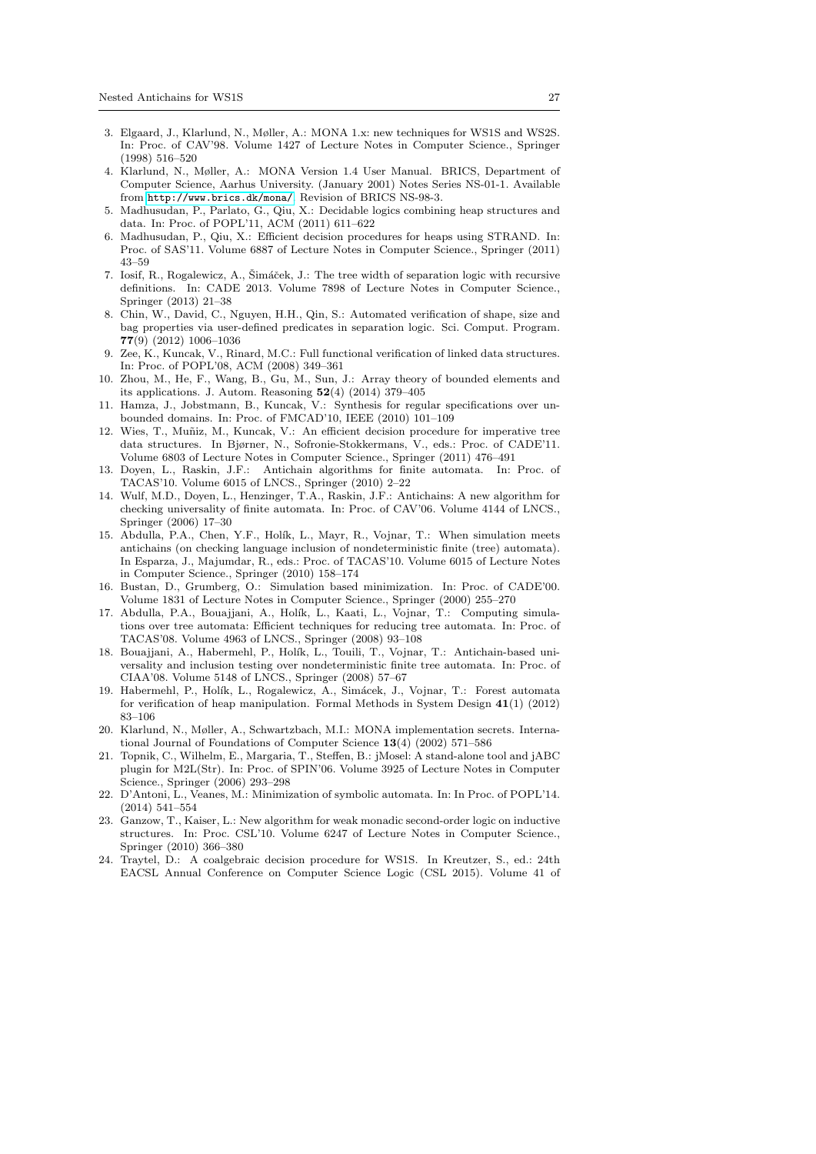- <span id="page-26-0"></span>3. Elgaard, J., Klarlund, N., Møller, A.: MONA 1.x: new techniques for WS1S and WS2S. In: Proc. of CAV'98. Volume 1427 of Lecture Notes in Computer Science., Springer (1998) 516–520
- <span id="page-26-1"></span>4. Klarlund, N., Møller, A.: MONA Version 1.4 User Manual. BRICS, Department of Computer Science, Aarhus University. (January 2001) Notes Series NS-01-1. Available from <http://www.brics.dk/mona/>. Revision of BRICS NS-98-3.
- <span id="page-26-2"></span>5. Madhusudan, P., Parlato, G., Qiu, X.: Decidable logics combining heap structures and data. In: Proc. of POPL'11, ACM (2011) 611–622
- <span id="page-26-3"></span>6. Madhusudan, P., Qiu, X.: Efficient decision procedures for heaps using STRAND. In: Proc. of SAS'11. Volume 6887 of Lecture Notes in Computer Science., Springer (2011) 43–59
- <span id="page-26-4"></span>7. Iosif, R., Rogalewicz, A., Šimáček, J.: The tree width of separation logic with recursive definitions. In: CADE 2013. Volume 7898 of Lecture Notes in Computer Science., Springer (2013) 21–38
- <span id="page-26-5"></span>8. Chin, W., David, C., Nguyen, H.H., Qin, S.: Automated verification of shape, size and bag properties via user-defined predicates in separation logic. Sci. Comput. Program. 77(9) (2012) 1006–1036
- <span id="page-26-6"></span>9. Zee, K., Kuncak, V., Rinard, M.C.: Full functional verification of linked data structures. In: Proc. of POPL'08, ACM (2008) 349–361
- <span id="page-26-7"></span>10. Zhou, M., He, F., Wang, B., Gu, M., Sun, J.: Array theory of bounded elements and its applications. J. Autom. Reasoning 52(4) (2014) 379–405
- <span id="page-26-8"></span>11. Hamza, J., Jobstmann, B., Kuncak, V.: Synthesis for regular specifications over unbounded domains. In: Proc. of FMCAD'10, IEEE (2010) 101–109
- <span id="page-26-9"></span>12. Wies, T., Mu˜niz, M., Kuncak, V.: An efficient decision procedure for imperative tree data structures. In Bjørner, N., Sofronie-Stokkermans, V., eds.: Proc. of CADE'11. Volume 6803 of Lecture Notes in Computer Science., Springer (2011) 476–491
- <span id="page-26-10"></span>13. Doyen, L., Raskin, J.F.: Antichain algorithms for finite automata. In: Proc. of TACAS'10. Volume 6015 of LNCS., Springer (2010) 2–22
- <span id="page-26-11"></span>14. Wulf, M.D., Doyen, L., Henzinger, T.A., Raskin, J.F.: Antichains: A new algorithm for checking universality of finite automata. In: Proc. of CAV'06. Volume 4144 of LNCS., Springer (2006) 17–30
- <span id="page-26-12"></span>15. Abdulla, P.A., Chen, Y.F., Holík, L., Mayr, R., Vojnar, T.: When simulation meets antichains (on checking language inclusion of nondeterministic finite (tree) automata). In Esparza, J., Majumdar, R., eds.: Proc. of TACAS'10. Volume 6015 of Lecture Notes in Computer Science., Springer (2010) 158–174
- <span id="page-26-13"></span>16. Bustan, D., Grumberg, O.: Simulation based minimization. In: Proc. of CADE'00. Volume 1831 of Lecture Notes in Computer Science., Springer (2000) 255–270
- <span id="page-26-14"></span>17. Abdulla, P.A., Bouajjani, A., Holík, L., Kaati, L., Vojnar, T.: Computing simulations over tree automata: Efficient techniques for reducing tree automata. In: Proc. of TACAS'08. Volume 4963 of LNCS., Springer (2008) 93–108
- <span id="page-26-15"></span>18. Bouajjani, A., Habermehl, P., Holík, L., Touili, T., Vojnar, T.: Antichain-based universality and inclusion testing over nondeterministic finite tree automata. In: Proc. of CIAA'08. Volume 5148 of LNCS., Springer (2008) 57–67
- <span id="page-26-16"></span>19. Habermehl, P., Holík, L., Rogalewicz, A., Simácek, J., Vojnar, T.: Forest automata for verification of heap manipulation. Formal Methods in System Design 41(1) (2012) 83–106
- <span id="page-26-17"></span>20. Klarlund, N., Møller, A., Schwartzbach, M.I.: MONA implementation secrets. International Journal of Foundations of Computer Science 13(4) (2002) 571–586
- <span id="page-26-18"></span>21. Topnik, C., Wilhelm, E., Margaria, T., Steffen, B.: jMosel: A stand-alone tool and jABC plugin for M2L(Str). In: Proc. of SPIN'06. Volume 3925 of Lecture Notes in Computer Science., Springer (2006) 293–298
- <span id="page-26-19"></span>22. D'Antoni, L., Veanes, M.: Minimization of symbolic automata. In: In Proc. of POPL'14. (2014) 541–554
- <span id="page-26-20"></span>23. Ganzow, T., Kaiser, L.: New algorithm for weak monadic second-order logic on inductive structures. In: Proc. CSL'10. Volume 6247 of Lecture Notes in Computer Science., Springer (2010) 366–380
- <span id="page-26-21"></span>24. Traytel, D.: A coalgebraic decision procedure for WS1S. In Kreutzer, S., ed.: 24th EACSL Annual Conference on Computer Science Logic (CSL 2015). Volume 41 of